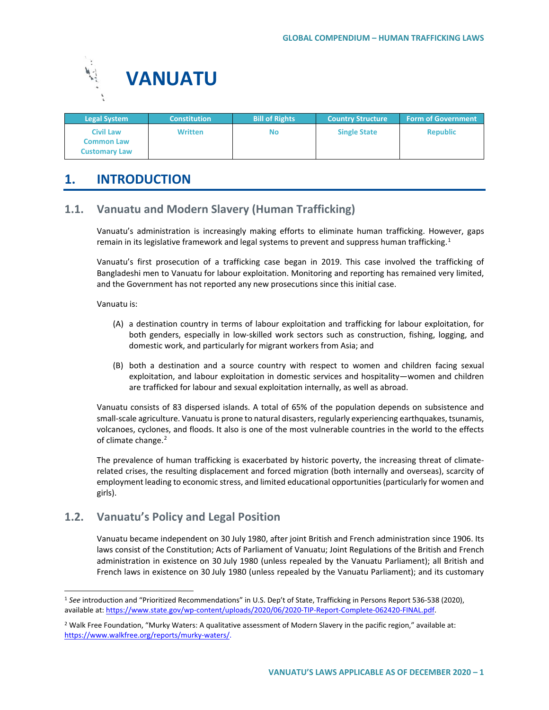

| <b>Legal System</b>                                    | <b>Constitution</b> | <b>Bill of Rights</b> | <b>Country Structure</b> | <b>Form of Government</b> |
|--------------------------------------------------------|---------------------|-----------------------|--------------------------|---------------------------|
| Civil Law<br><b>Common Law</b><br><b>Customary Law</b> | Written             | No                    | <b>Single State</b>      | <b>Republic</b>           |

# **1. INTRODUCTION**

# **1.1. Vanuatu and Modern Slavery (Human Trafficking)**

Vanuatu's administration is increasingly making efforts to eliminate human trafficking. However, gaps remain in its legislative framework and legal systems to prevent and suppress human trafficking.<sup>[1](#page-0-0)</sup>

Vanuatu's first prosecution of a trafficking case began in 2019. This case involved the trafficking of Bangladeshi men to Vanuatu for labour exploitation. Monitoring and reporting has remained very limited, and the Government has not reported any new prosecutions since this initial case.

Vanuatu is:

- (A) a destination country in terms of labour exploitation and trafficking for labour exploitation, for both genders, especially in low-skilled work sectors such as construction, fishing, logging, and domestic work, and particularly for migrant workers from Asia; and
- (B) both a destination and a source country with respect to women and children facing sexual exploitation, and labour exploitation in domestic services and hospitality—women and children are trafficked for labour and sexual exploitation internally, as well as abroad.

Vanuatu consists of 83 dispersed islands. A total of 65% of the population depends on subsistence and small-scale agriculture. Vanuatu is prone to natural disasters, regularly experiencing earthquakes, tsunamis, volcanoes, cyclones, and floods. It also is one of the most vulnerable countries in the world to the effects of climate change.<sup>[2](#page-0-1)</sup>

The prevalence of human trafficking is exacerbated by historic poverty, the increasing threat of climaterelated crises, the resulting displacement and forced migration (both internally and overseas), scarcity of employment leading to economic stress, and limited educational opportunities (particularly for women and girls).

# **1.2. Vanuatu's Policy and Legal Position**

Vanuatu became independent on 30 July 1980, after joint British and French administration since 1906. Its laws consist of the Constitution; Acts of Parliament of Vanuatu; Joint Regulations of the British and French administration in existence on 30 July 1980 (unless repealed by the Vanuatu Parliament); all British and French laws in existence on 30 July 1980 (unless repealed by the Vanuatu Parliament); and its customary

<span id="page-0-0"></span> <sup>1</sup> *See* introduction and "Prioritized Recommendations" in U.S. Dep't of State, Trafficking in Persons Report 536-538 (2020), available at[: https://www.state.gov/wp-content/uploads/2020/06/2020-TIP-Report-Complete-062420-FINAL.pdf.](https://www.state.gov/wp-content/uploads/2020/06/2020-TIP-Report-Complete-062420-FINAL.pdf)

<span id="page-0-1"></span> $2$  Walk Free Foundation, "Murky Waters: A qualitative assessment of Modern Slavery in the pacific region," available at: [https://www.walkfree.org/reports/murky-waters/.](https://www.walkfree.org/reports/murky-waters/)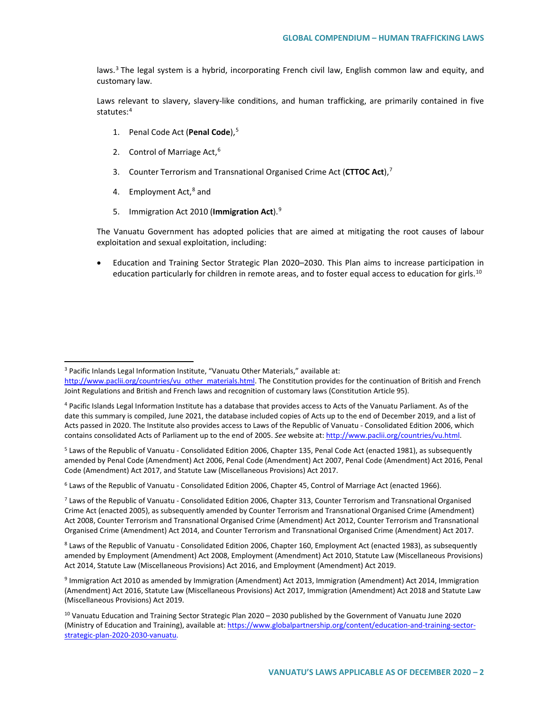laws. $3$  The legal system is a hybrid, incorporating French civil law, English common law and equity, and customary law.

Laws relevant to slavery, slavery-like conditions, and human trafficking, are primarily contained in five statutes:[4](#page-1-1)

- 1. Penal Code Act (**Penal Code**),[5](#page-1-2)
- 2. Control of Marriage Act, $6$
- 3. Counter Terrorism and Transnational Organised Crime Act (**CTTOC Act**),[7](#page-1-4)
- 4. Employment  $Act<sub>1</sub><sup>8</sup>$  $Act<sub>1</sub><sup>8</sup>$  $Act<sub>1</sub><sup>8</sup>$  and
- 5. Immigration Act 2010 (**Immigration Act**).[9](#page-1-6)

The Vanuatu Government has adopted policies that are aimed at mitigating the root causes of labour exploitation and sexual exploitation, including:

• Education and Training Sector Strategic Plan 2020–2030. This Plan aims to increase participation in education particularly for children in remote areas, and to foster equal access to education for girls.<sup>[10](#page-1-7)</sup>

<span id="page-1-3"></span><sup>6</sup> Laws of the Republic of Vanuatu - Consolidated Edition 2006, Chapter 45, Control of Marriage Act (enacted 1966).

<span id="page-1-5"></span><sup>8</sup> Laws of the Republic of Vanuatu - Consolidated Edition 2006, Chapter 160, Employment Act (enacted 1983), as subsequently amended by Employment (Amendment) Act 2008, Employment (Amendment) Act 2010, Statute Law (Miscellaneous Provisions) Act 2014, Statute Law (Miscellaneous Provisions) Act 2016, and Employment (Amendment) Act 2019.

<span id="page-1-0"></span> <sup>3</sup> Pacific Inlands Legal Information Institute, "Vanuatu Other Materials," available at:

[http://www.paclii.org/countries/vu\\_other\\_materials.html.](http://www.paclii.org/countries/vu_other_materials.html) The Constitution provides for the continuation of British and French Joint Regulations and British and French laws and recognition of customary laws (Constitution Article 95).

<span id="page-1-1"></span><sup>4</sup> Pacific Islands Legal Information Institute has a database that provides access to Acts of the Vanuatu Parliament. As of the date this summary is compiled, June 2021, the database included copies of Acts up to the end of December 2019, and a list of Acts passed in 2020. The Institute also provides access to Laws of the Republic of Vanuatu - Consolidated Edition 2006, which contains consolidated Acts of Parliament up to the end of 2005. *See* website at: [http://www.paclii.org/countries/vu.html.](http://www.paclii.org/countries/vu.html)

<span id="page-1-2"></span><sup>5</sup> Laws of the Republic of Vanuatu - Consolidated Edition 2006, Chapter 135, Penal Code Act (enacted 1981), as subsequently amended by Penal Code (Amendment) Act 2006, Penal Code (Amendment) Act 2007, Penal Code (Amendment) Act 2016, Penal Code (Amendment) Act 2017, and Statute Law (Miscellaneous Provisions) Act 2017.

<span id="page-1-4"></span> $<sup>7</sup>$  Laws of the Republic of Vanuatu - Consolidated Edition 2006, Chapter 313, Counter Terrorism and Transnational Organised</sup> Crime Act (enacted 2005), as subsequently amended by Counter Terrorism and Transnational Organised Crime (Amendment) Act 2008, Counter Terrorism and Transnational Organised Crime (Amendment) Act 2012, Counter Terrorism and Transnational Organised Crime (Amendment) Act 2014, and Counter Terrorism and Transnational Organised Crime (Amendment) Act 2017.

<span id="page-1-6"></span><sup>9</sup> Immigration Act 2010 as amended by Immigration (Amendment) Act 2013, Immigration (Amendment) Act 2014, Immigration (Amendment) Act 2016, Statute Law (Miscellaneous Provisions) Act 2017, Immigration (Amendment) Act 2018 and Statute Law (Miscellaneous Provisions) Act 2019.

<span id="page-1-7"></span><sup>10</sup> Vanuatu Education and Training Sector Strategic Plan 2020 – 2030 published by the Government of Vanuatu June 2020 (Ministry of Education and Training), available at: [https://www.globalpartnership.org/content/education-and-training-sector](https://www.globalpartnership.org/content/education-and-training-sector-strategic-plan-2020-2030-vanuatu)[strategic-plan-2020-2030-vanuatu.](https://www.globalpartnership.org/content/education-and-training-sector-strategic-plan-2020-2030-vanuatu)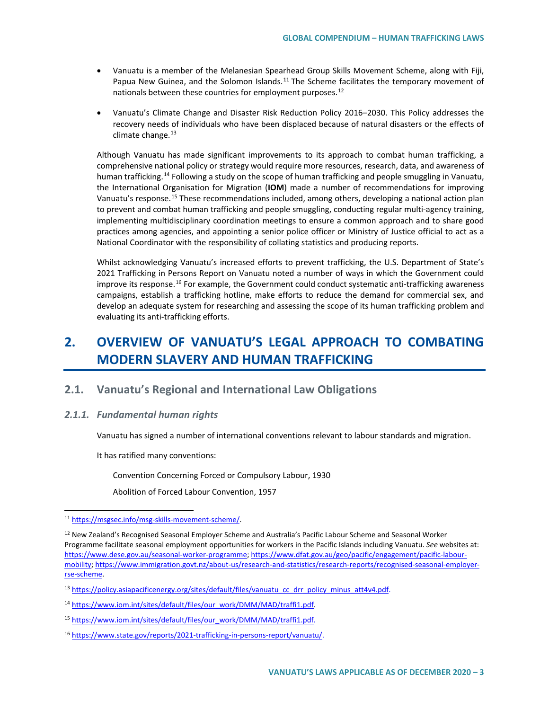- Vanuatu is a member of the Melanesian Spearhead Group Skills Movement Scheme, along with Fiji, Papua New Guinea, and the Solomon Islands.<sup>[11](#page-2-0)</sup> The Scheme facilitates the temporary movement of nationals between these countries for employment purposes.<sup>[12](#page-2-1)</sup>
- Vanuatu's Climate Change and Disaster Risk Reduction Policy 2016–2030. This Policy addresses the recovery needs of individuals who have been displaced because of natural disasters or the effects of climate change. $13$

Although Vanuatu has made significant improvements to its approach to combat human trafficking, a comprehensive national policy or strategy would require more resources, research, data, and awareness of human trafficking.<sup>[14](#page-2-3)</sup> Following a study on the scope of human trafficking and people smuggling in Vanuatu, the International Organisation for Migration (**IOM**) made a number of recommendations for improving Vanuatu's response.<sup>[15](#page-2-4)</sup> These recommendations included, among others, developing a national action plan to prevent and combat human trafficking and people smuggling, conducting regular multi-agency training, implementing multidisciplinary coordination meetings to ensure a common approach and to share good practices among agencies, and appointing a senior police officer or Ministry of Justice official to act as a National Coordinator with the responsibility of collating statistics and producing reports.

Whilst acknowledging Vanuatu's increased efforts to prevent trafficking, the U.S. Department of State's 2021 Trafficking in Persons Report on Vanuatu noted a number of ways in which the Government could improve its response.<sup>[16](#page-2-5)</sup> For example, the Government could conduct systematic anti-trafficking awareness campaigns, establish a trafficking hotline, make efforts to reduce the demand for commercial sex, and develop an adequate system for researching and assessing the scope of its human trafficking problem and evaluating its anti-trafficking efforts.

# **2. OVERVIEW OF VANUATU'S LEGAL APPROACH TO COMBATING MODERN SLAVERY AND HUMAN TRAFFICKING**

### **2.1. Vanuatu's Regional and International Law Obligations**

### *2.1.1. Fundamental human rights*

Vanuatu has signed a number of international conventions relevant to labour standards and migration.

It has ratified many conventions:

Convention Concerning Forced or Compulsory Labour, 1930

Abolition of Forced Labour Convention, 1957

<span id="page-2-0"></span> <sup>11</sup> [https://msgsec.info/msg-skills-movement-scheme/.](https://msgsec.info/msg-skills-movement-scheme/)

<span id="page-2-1"></span><sup>&</sup>lt;sup>12</sup> New Zealand's Recognised Seasonal Employer Scheme and Australia's Pacific Labour Scheme and Seasonal Worker Programme facilitate seasonal employment opportunities for workers in the Pacific Islands including Vanuatu. *See* websites at: [https://www.dese.gov.au/seasonal-worker-programme;](https://www.dese.gov.au/seasonal-worker-programme) [https://www.dfat.gov.au/geo/pacific/engagement/pacific-labour](https://www.dfat.gov.au/geo/pacific/engagement/pacific-labour-mobility)[mobility;](https://www.dfat.gov.au/geo/pacific/engagement/pacific-labour-mobility) [https://www.immigration.govt.nz/about-us/research-and-statistics/research-reports/recognised-seasonal-employer](https://www.immigration.govt.nz/about-us/research-and-statistics/research-reports/recognised-seasonal-employer-rse-scheme)[rse-scheme.](https://www.immigration.govt.nz/about-us/research-and-statistics/research-reports/recognised-seasonal-employer-rse-scheme)

<span id="page-2-2"></span><sup>&</sup>lt;sup>13</sup> [https://policy.asiapacificenergy.org/sites/default/files/vanuatu\\_cc\\_drr\\_policy\\_minus\\_att4v4.pdf.](https://policy.asiapacificenergy.org/sites/default/files/vanuatu_cc_drr_policy_minus_att4v4.pdf)

<span id="page-2-3"></span><sup>&</sup>lt;sup>14</sup> [https://www.iom.int/sites/default/files/our\\_work/DMM/MAD/traffi1.pdf.](https://www.iom.int/sites/default/files/our_work/DMM/MAD/traffi1.pdf)

<span id="page-2-4"></span><sup>15</sup> [https://www.iom.int/sites/default/files/our\\_work/DMM/MAD/traffi1.pdf.](https://www.iom.int/sites/default/files/our_work/DMM/MAD/traffi1.pdf)

<span id="page-2-5"></span><sup>16</sup> [https://www.state.gov/reports/2021-trafficking-in-persons-report/vanuatu/.](https://www.state.gov/reports/2021-trafficking-in-persons-report/vanuatu/)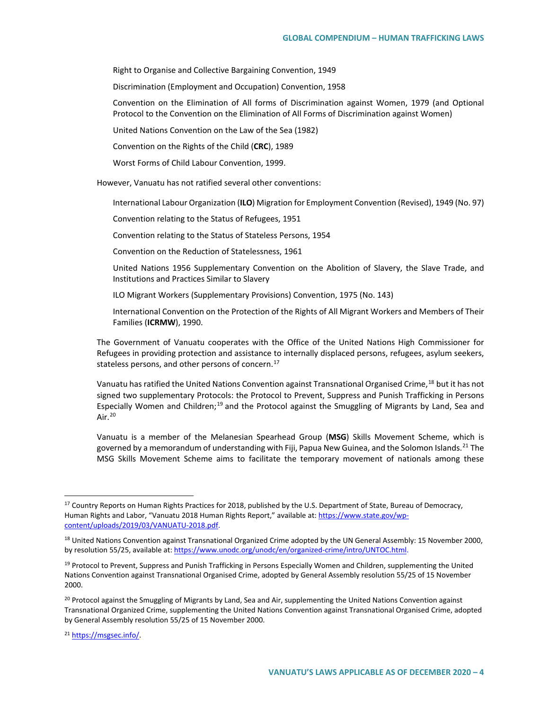Right to Organise and Collective Bargaining Convention, 1949

Discrimination (Employment and Occupation) Convention, 1958

Convention on the Elimination of All forms of Discrimination against Women, 1979 (and Optional Protocol to the Convention on the Elimination of All Forms of Discrimination against Women)

United Nations Convention on the Law of the Sea (1982)

Convention on the Rights of the Child (**CRC**), 1989

Worst Forms of Child Labour Convention, 1999.

However, Vanuatu has not ratified several other conventions:

International Labour Organization (**ILO**) Migration for Employment Convention (Revised), 1949 (No. 97)

Convention relating to the Status of Refugees, 1951

Convention relating to the Status of Stateless Persons, 1954

Convention on the Reduction of Statelessness, 1961

United Nations 1956 Supplementary Convention on the Abolition of Slavery, the Slave Trade, and Institutions and Practices Similar to Slavery

ILO Migrant Workers (Supplementary Provisions) Convention, 1975 (No. 143)

International Convention on the Protection of the Rights of All Migrant Workers and Members of Their Families (**ICRMW**), 1990.

The Government of Vanuatu cooperates with the Office of the United Nations High Commissioner for Refugees in providing protection and assistance to internally displaced persons, refugees, asylum seekers, stateless persons, and other persons of concern.<sup>[17](#page-3-0)</sup>

Vanuatu has ratified the United Nations Convention against Transnational Organised Crime,<sup>[18](#page-3-1)</sup> but it has not signed two supplementary Protocols: the Protocol to Prevent, Suppress and Punish Trafficking in Persons Especially Women and Children;<sup>[19](#page-3-2)</sup> and the Protocol against the Smuggling of Migrants by Land, Sea and Air.<sup>[20](#page-3-3)</sup>

Vanuatu is a member of the Melanesian Spearhead Group (**MSG**) Skills Movement Scheme, which is governed by a memorandum of understanding with Fiji, Papua New Guinea, and the Solomon Islands.<sup>[21](#page-3-4)</sup> The MSG Skills Movement Scheme aims to facilitate the temporary movement of nationals among these

<span id="page-3-0"></span><sup>&</sup>lt;sup>17</sup> Country Reports on Human Rights Practices for 2018, published by the U.S. Department of State, Bureau of Democracy, Human Rights and Labor, "Vanuatu 2018 Human Rights Report," available at[: https://www.state.gov/wp](https://www.state.gov/wp-content/uploads/2019/03/VANUATU-2018.pdf)[content/uploads/2019/03/VANUATU-2018.pdf.](https://www.state.gov/wp-content/uploads/2019/03/VANUATU-2018.pdf)

<span id="page-3-1"></span><sup>&</sup>lt;sup>18</sup> United Nations Convention against Transnational Organized Crime adopted by the UN General Assembly: 15 November 2000, by resolution 55/25, available at[: https://www.unodc.org/unodc/en/organized-crime/intro/UNTOC.html.](https://www.unodc.org/unodc/en/organized-crime/intro/UNTOC.html)

<span id="page-3-2"></span><sup>&</sup>lt;sup>19</sup> Protocol to Prevent, Suppress and Punish Trafficking in Persons Especially Women and Children, supplementing the United Nations Convention against Transnational Organised Crime, adopted by General Assembly resolution 55/25 of 15 November 2000.

<span id="page-3-3"></span><sup>&</sup>lt;sup>20</sup> Protocol against the Smuggling of Migrants by Land, Sea and Air, supplementing the United Nations Convention against Transnational Organized Crime, supplementing the United Nations Convention against Transnational Organised Crime, adopted by General Assembly resolution 55/25 of 15 November 2000.

<span id="page-3-4"></span><sup>21</sup> [https://msgsec.info/.](https://msgsec.info/)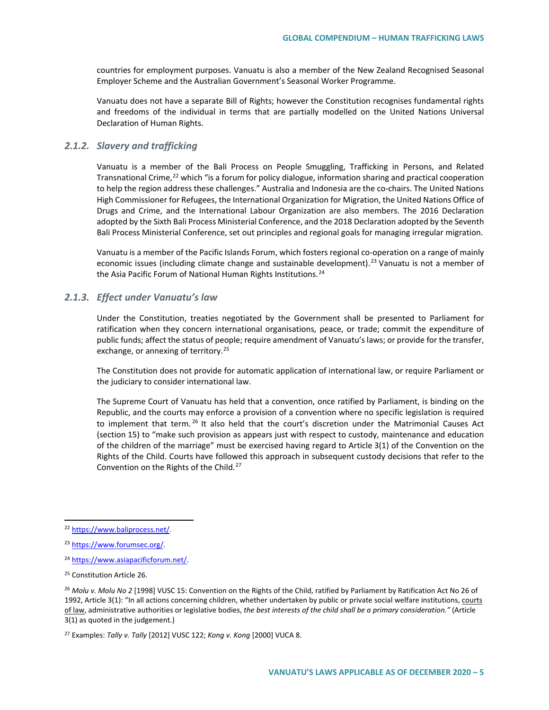countries for employment purposes. Vanuatu is also a member of the New Zealand Recognised Seasonal Employer Scheme and the Australian Government's Seasonal Worker Programme.

Vanuatu does not have a separate Bill of Rights; however the Constitution recognises fundamental rights and freedoms of the individual in terms that are partially modelled on the United Nations Universal Declaration of Human Rights.

#### *2.1.2. Slavery and trafficking*

Vanuatu is a member of the Bali Process on People Smuggling, Trafficking in Persons, and Related Transnational Crime,<sup>[22](#page-4-0)</sup> which "is a forum for policy dialogue, information sharing and practical cooperation to help the region address these challenges." Australia and Indonesia are the co-chairs. The United Nations High Commissioner for Refugees, the International Organization for Migration, the United Nations Office of Drugs and Crime, and the International Labour Organization are also members. The 2016 Declaration adopted by the Sixth Bali Process Ministerial Conference, and the 2018 Declaration adopted by the Seventh Bali Process Ministerial Conference, set out principles and regional goals for managing irregular migration.

Vanuatu is a member of the Pacific Islands Forum, which fosters regional co-operation on a range of mainly economic issues (including climate change and sustainable development).<sup>[23](#page-4-1)</sup> Vanuatu is not a member of the Asia Pacific Forum of National Human Rights Institutions.<sup>[24](#page-4-2)</sup>

### *2.1.3. Effect under Vanuatu's law*

Under the Constitution, treaties negotiated by the Government shall be presented to Parliament for ratification when they concern international organisations, peace, or trade; commit the expenditure of public funds; affect the status of people; require amendment of Vanuatu's laws; or provide for the transfer, exchange, or annexing of territory.<sup>[25](#page-4-3)</sup>

The Constitution does not provide for automatic application of international law, or require Parliament or the judiciary to consider international law.

The Supreme Court of Vanuatu has held that a convention, once ratified by Parliament, is binding on the Republic, and the courts may enforce a provision of a convention where no specific legislation is required to implement that term.<sup>[26](#page-4-4)</sup> It also held that the court's discretion under the Matrimonial Causes Act (section 15) to "make such provision as appears just with respect to custody, maintenance and education of the children of the marriage" must be exercised having regard to Article 3(1) of the Convention on the Rights of the Child. Courts have followed this approach in subsequent custody decisions that refer to the Convention on the Rights of the Child.<sup>[27](#page-4-5)</sup>

<span id="page-4-5"></span><sup>27</sup> Examples: *Tally v. Tally* [2012] VUSC 122; *Kong v. Kong* [2000] VUCA 8.

<span id="page-4-0"></span> <sup>22</sup> [https://www.baliprocess.net/.](https://www.baliprocess.net/)

<span id="page-4-1"></span><sup>23</sup> [https://www.forumsec.org/.](https://www.forumsec.org/)

<span id="page-4-2"></span><sup>24</sup> [https://www.asiapacificforum.net/.](https://www.asiapacificforum.net/)

<span id="page-4-3"></span><sup>&</sup>lt;sup>25</sup> Constitution Article 26.

<span id="page-4-4"></span><sup>26</sup> *Molu v. Molu No 2* [1998] VUSC 15: Convention on the Rights of the Child, ratified by Parliament by Ratification Act No 26 of 1992, Article 3(1): "In all actions concerning children, whether undertaken by public or private social welfare institutions, courts of law, administrative authorities or legislative bodies, *the best interests of the child shall be a primary consideration."* (Article 3(1) as quoted in the judgement.)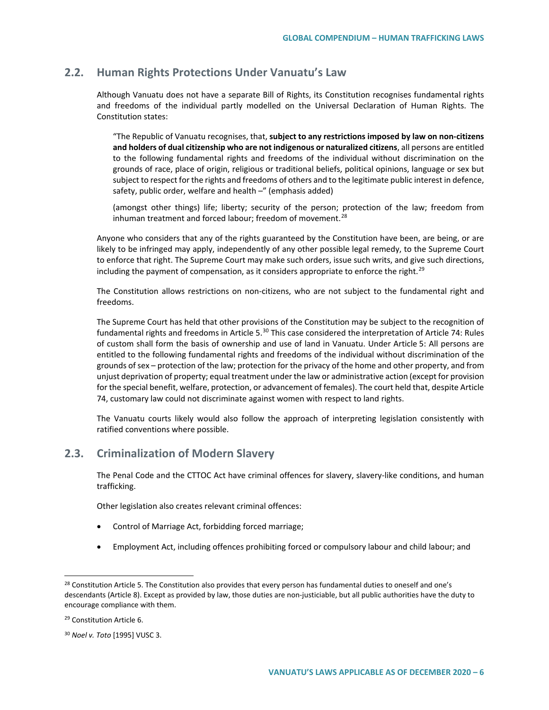### **2.2. Human Rights Protections Under Vanuatu's Law**

Although Vanuatu does not have a separate Bill of Rights, its Constitution recognises fundamental rights and freedoms of the individual partly modelled on the Universal Declaration of Human Rights. The Constitution states:

"The Republic of Vanuatu recognises, that, **subject to any restrictions imposed by law on non-citizens and holders of dual citizenship who are not indigenous or naturalized citizens**, all persons are entitled to the following fundamental rights and freedoms of the individual without discrimination on the grounds of race, place of origin, religious or traditional beliefs, political opinions, language or sex but subject to respect for the rights and freedoms of others and to the legitimate public interest in defence, safety, public order, welfare and health -" (emphasis added)

(amongst other things) life; liberty; security of the person; protection of the law; freedom from inhuman treatment and forced labour; freedom of movement.<sup>[28](#page-5-0)</sup>

Anyone who considers that any of the rights guaranteed by the Constitution have been, are being, or are likely to be infringed may apply, independently of any other possible legal remedy, to the Supreme Court to enforce that right. The Supreme Court may make such orders, issue such writs, and give such directions, including the payment of compensation, as it considers appropriate to enforce the right.<sup>[29](#page-5-1)</sup>

The Constitution allows restrictions on non-citizens, who are not subject to the fundamental right and freedoms.

The Supreme Court has held that other provisions of the Constitution may be subject to the recognition of fundamental rights and freedoms in Article 5.<sup>[30](#page-5-2)</sup> This case considered the interpretation of Article 74: Rules of custom shall form the basis of ownership and use of land in Vanuatu. Under Article 5: All persons are entitled to the following fundamental rights and freedoms of the individual without discrimination of the grounds of sex – protection of the law; protection for the privacy of the home and other property, and from unjust deprivation of property; equal treatment under the law or administrative action (except for provision for the special benefit, welfare, protection, or advancement of females). The court held that, despite Article 74, customary law could not discriminate against women with respect to land rights.

The Vanuatu courts likely would also follow the approach of interpreting legislation consistently with ratified conventions where possible.

### **2.3. Criminalization of Modern Slavery**

The Penal Code and the CTTOC Act have criminal offences for slavery, slavery-like conditions, and human trafficking.

Other legislation also creates relevant criminal offences:

- Control of Marriage Act, forbidding forced marriage;
- Employment Act, including offences prohibiting forced or compulsory labour and child labour; and

<span id="page-5-0"></span><sup>&</sup>lt;sup>28</sup> Constitution Article 5. The Constitution also provides that every person has fundamental duties to oneself and one's descendants (Article 8). Except as provided by law, those duties are non-justiciable, but all public authorities have the duty to encourage compliance with them.

<span id="page-5-1"></span><sup>&</sup>lt;sup>29</sup> Constitution Article 6.

<span id="page-5-2"></span><sup>30</sup> *Noel v. Toto* [1995] VUSC 3.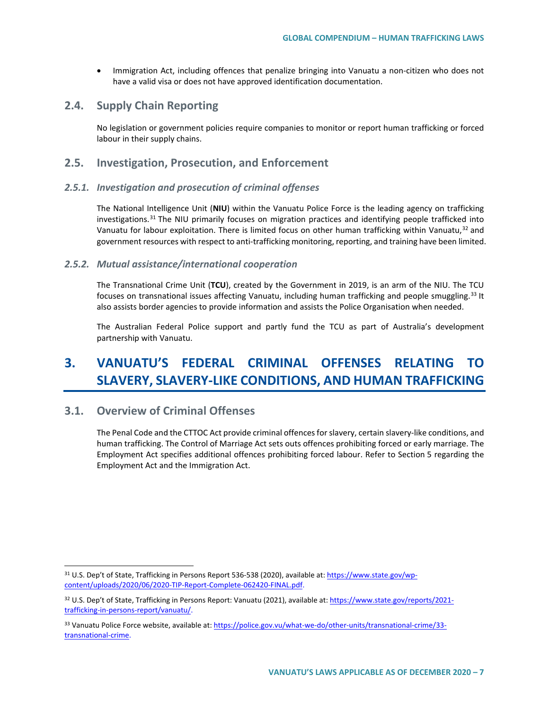• Immigration Act, including offences that penalize bringing into Vanuatu a non-citizen who does not have a valid visa or does not have approved identification documentation.

### **2.4. Supply Chain Reporting**

No legislation or government policies require companies to monitor or report human trafficking or forced labour in their supply chains.

### **2.5. Investigation, Prosecution, and Enforcement**

### *2.5.1. Investigation and prosecution of criminal offenses*

The National Intelligence Unit (**NIU**) within the Vanuatu Police Force is the leading agency on trafficking investigations.<sup>[31](#page-6-0)</sup> The NIU primarily focuses on migration practices and identifying people trafficked into Vanuatu for labour exploitation. There is limited focus on other human trafficking within Vanuatu,<sup>[32](#page-6-1)</sup> and government resources with respect to anti-trafficking monitoring, reporting, and training have been limited.

### *2.5.2. Mutual assistance/international cooperation*

The Transnational Crime Unit (**TCU**), created by the Government in 2019, is an arm of the NIU. The TCU focuses on transnational issues affecting Vanuatu, including human trafficking and people smuggling.<sup>[33](#page-6-2)</sup> It also assists border agencies to provide information and assists the Police Organisation when needed.

The Australian Federal Police support and partly fund the TCU as part of Australia's development partnership with Vanuatu.

# **3. VANUATU'S FEDERAL CRIMINAL OFFENSES RELATING TO SLAVERY, SLAVERY-LIKE CONDITIONS, AND HUMAN TRAFFICKING**

### **3.1. Overview of Criminal Offenses**

The Penal Code and the CTTOC Act provide criminal offences for slavery, certain slavery-like conditions, and human trafficking. The Control of Marriage Act sets outs offences prohibiting forced or early marriage. The Employment Act specifies additional offences prohibiting forced labour. Refer to Section 5 regarding the Employment Act and the Immigration Act.

<span id="page-6-0"></span> <sup>31</sup> U.S. Dep't of State, Trafficking in Persons Report 536-538 (2020), available at: [https://www.state.gov/wp](https://www.state.gov/wp-content/uploads/2020/06/2020-TIP-Report-Complete-062420-FINAL.pdf)[content/uploads/2020/06/2020-TIP-Report-Complete-062420-FINAL.pdf.](https://www.state.gov/wp-content/uploads/2020/06/2020-TIP-Report-Complete-062420-FINAL.pdf)

<span id="page-6-1"></span><sup>32</sup> U.S. Dep't of State, Trafficking in Persons Report: Vanuatu (2021), available at: [https://www.state.gov/reports/2021](https://www.state.gov/reports/2021-trafficking-in-persons-report/vanuatu/) [trafficking-in-persons-report/vanuatu/.](https://www.state.gov/reports/2021-trafficking-in-persons-report/vanuatu/)

<span id="page-6-2"></span><sup>33</sup> Vanuatu Police Force website, available at[: https://police.gov.vu/what-we-do/other-units/transnational-crime/33](https://police.gov.vu/what-we-do/other-units/transnational-crime/33-transnational-crime) [transnational-crime.](https://police.gov.vu/what-we-do/other-units/transnational-crime/33-transnational-crime)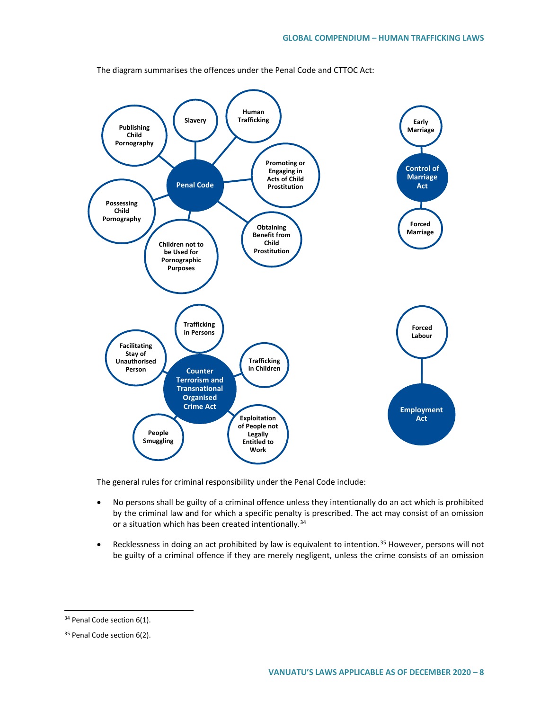

The diagram summarises the offences under the Penal Code and CTTOC Act:

The general rules for criminal responsibility under the Penal Code include:

- No persons shall be guilty of a criminal offence unless they intentionally do an act which is prohibited by the criminal law and for which a specific penalty is prescribed. The act may consist of an omission or a situation which has been created intentionally.<sup>[34](#page-7-0)</sup>
- Recklessness in doing an act prohibited by law is equivalent to intention.<sup>[35](#page-7-1)</sup> However, persons will not be guilty of a criminal offence if they are merely negligent, unless the crime consists of an omission

<span id="page-7-0"></span><sup>&</sup>lt;sup>34</sup> Penal Code section 6(1).

<span id="page-7-1"></span><sup>&</sup>lt;sup>35</sup> Penal Code section 6(2).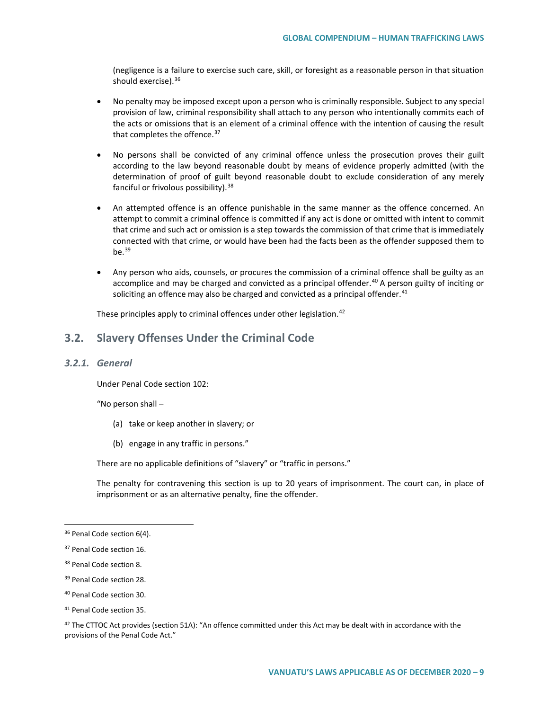(negligence is a failure to exercise such care, skill, or foresight as a reasonable person in that situation should exercise).<sup>[36](#page-8-0)</sup>

- No penalty may be imposed except upon a person who is criminally responsible. Subject to any special provision of law, criminal responsibility shall attach to any person who intentionally commits each of the acts or omissions that is an element of a criminal offence with the intention of causing the result that completes the offence.<sup>[37](#page-8-1)</sup>
- No persons shall be convicted of any criminal offence unless the prosecution proves their guilt according to the law beyond reasonable doubt by means of evidence properly admitted (with the determination of proof of guilt beyond reasonable doubt to exclude consideration of any merely fanciful or frivolous possibility).<sup>[38](#page-8-2)</sup>
- An attempted offence is an offence punishable in the same manner as the offence concerned. An attempt to commit a criminal offence is committed if any act is done or omitted with intent to commit that crime and such act or omission is a step towards the commission of that crime that is immediately connected with that crime, or would have been had the facts been as the offender supposed them to be. $39$
- Any person who aids, counsels, or procures the commission of a criminal offence shall be guilty as an accomplice and may be charged and convicted as a principal offender.<sup>[40](#page-8-4)</sup> A person guilty of inciting or soliciting an offence may also be charged and convicted as a principal offender. $41$

These principles apply to criminal offences under other legislation.<sup>[42](#page-8-6)</sup>

### **3.2. Slavery Offenses Under the Criminal Code**

#### *3.2.1. General*

Under Penal Code section 102:

"No person shall –

- (a) take or keep another in slavery; or
- (b) engage in any traffic in persons."

There are no applicable definitions of "slavery" or "traffic in persons."

The penalty for contravening this section is up to 20 years of imprisonment. The court can, in place of imprisonment or as an alternative penalty, fine the offender.

<span id="page-8-6"></span> $42$  The CTTOC Act provides (section 51A): "An offence committed under this Act may be dealt with in accordance with the provisions of the Penal Code Act."

<span id="page-8-0"></span><sup>&</sup>lt;sup>36</sup> Penal Code section 6(4).

<span id="page-8-1"></span><sup>&</sup>lt;sup>37</sup> Penal Code section 16.

<span id="page-8-2"></span><sup>&</sup>lt;sup>38</sup> Penal Code section 8.

<span id="page-8-3"></span><sup>&</sup>lt;sup>39</sup> Penal Code section 28.

<span id="page-8-4"></span><sup>40</sup> Penal Code section 30.

<span id="page-8-5"></span><sup>41</sup> Penal Code section 35.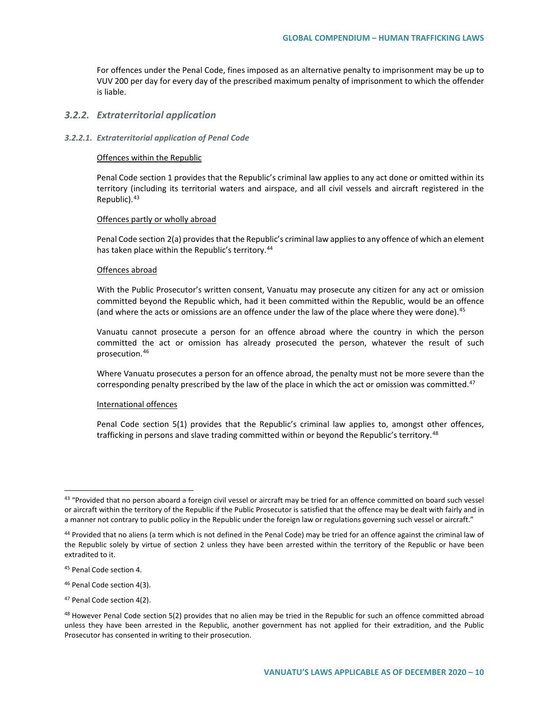For offences under the Penal Code, fines imposed as an alternative penalty to imprisonment may be up to VUV 200 per day for every day of the prescribed maximum penalty of imprisonment to which the offender is liable.

#### *3.2.2. Extraterritorial application*

#### *3.2.2.1. Extraterritorial application of Penal Code*

#### Offences within the Republic

Penal Code section 1 provides that the Republic's criminal law applies to any act done or omitted within its territory (including its territorial waters and airspace, and all civil vessels and aircraft registered in the Republic).<sup>[43](#page-9-0)</sup>

#### Offences partly or wholly abroad

Penal Code section 2(a) provides that the Republic's criminal law applies to any offence of which an element has taken place within the Republic's territory.<sup>[44](#page-9-1)</sup>

#### Offences abroad

With the Public Prosecutor's written consent, Vanuatu may prosecute any citizen for any act or omission committed beyond the Republic which, had it been committed within the Republic, would be an offence (and where the acts or omissions are an offence under the law of the place where they were done).<sup>[45](#page-9-2)</sup>

Vanuatu cannot prosecute a person for an offence abroad where the country in which the person committed the act or omission has already prosecuted the person, whatever the result of such prosecution.[46](#page-9-3)

Where Vanuatu prosecutes a person for an offence abroad, the penalty must not be more severe than the corresponding penalty prescribed by the law of the place in which the act or omission was committed. $47$ 

#### International offences

Penal Code section 5(1) provides that the Republic's criminal law applies to, amongst other offences, trafficking in persons and slave trading committed within or beyond the Republic's territory.<sup>[48](#page-9-5)</sup>

<span id="page-9-0"></span><sup>&</sup>lt;sup>43</sup> "Provided that no person aboard a foreign civil vessel or aircraft may be tried for an offence committed on board such vessel or aircraft within the territory of the Republic if the Public Prosecutor is satisfied that the offence may be dealt with fairly and in a manner not contrary to public policy in the Republic under the foreign law or regulations governing such vessel or aircraft."

<span id="page-9-1"></span><sup>44</sup> Provided that no aliens (a term which is not defined in the Penal Code) may be tried for an offence against the criminal law of the Republic solely by virtue of section 2 unless they have been arrested within the territory of the Republic or have been extradited to it.

<span id="page-9-2"></span><sup>45</sup> Penal Code section 4.

<span id="page-9-3"></span><sup>46</sup> Penal Code section 4(3).

<span id="page-9-4"></span><sup>47</sup> Penal Code section 4(2).

<span id="page-9-5"></span> $48$  However Penal Code section 5(2) provides that no alien may be tried in the Republic for such an offence committed abroad unless they have been arrested in the Republic, another government has not applied for their extradition, and the Public Prosecutor has consented in writing to their prosecution.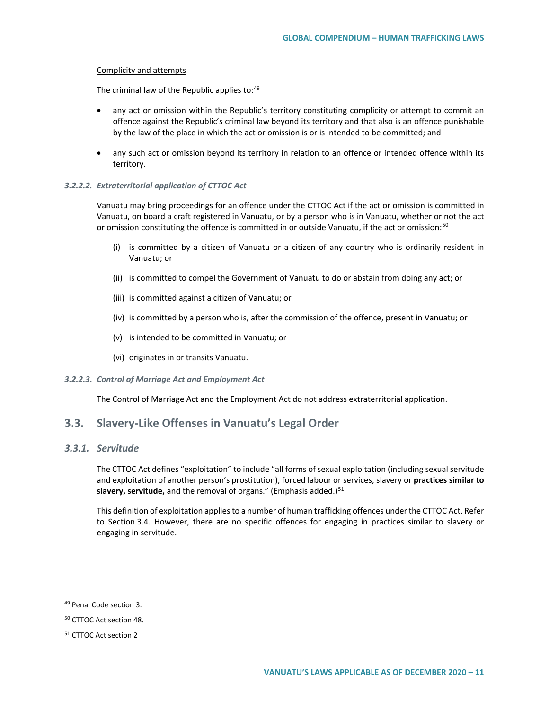#### Complicity and attempts

The criminal law of the Republic applies to: [49](#page-10-0)

- any act or omission within the Republic's territory constituting complicity or attempt to commit an offence against the Republic's criminal law beyond its territory and that also is an offence punishable by the law of the place in which the act or omission is or is intended to be committed; and
- any such act or omission beyond its territory in relation to an offence or intended offence within its territory.

#### *3.2.2.2. Extraterritorial application of CTTOC Act*

Vanuatu may bring proceedings for an offence under the CTTOC Act if the act or omission is committed in Vanuatu, on board a craft registered in Vanuatu, or by a person who is in Vanuatu, whether or not the act or omission constituting the offence is committed in or outside Vanuatu, if the act or omission:<sup>[50](#page-10-1)</sup>

- (i) is committed by a citizen of Vanuatu or a citizen of any country who is ordinarily resident in Vanuatu; or
- (ii) is committed to compel the Government of Vanuatu to do or abstain from doing any act; or
- (iii) is committed against a citizen of Vanuatu; or
- (iv) is committed by a person who is, after the commission of the offence, present in Vanuatu; or
- (v) is intended to be committed in Vanuatu; or
- (vi) originates in or transits Vanuatu.

#### *3.2.2.3. Control of Marriage Act and Employment Act*

The Control of Marriage Act and the Employment Act do not address extraterritorial application.

### **3.3. Slavery-Like Offenses in Vanuatu's Legal Order**

### *3.3.1. Servitude*

The CTTOC Act defines "exploitation" to include "all forms of sexual exploitation (including sexual servitude and exploitation of another person's prostitution), forced labour or services, slavery or **practices similar to**  slavery, servitude, and the removal of organs." (Emphasis added.)<sup>[51](#page-10-2)</sup>

This definition of exploitation applies to a number of human trafficking offences under the CTTOC Act. Refer to Section 3.4. However, there are no specific offences for engaging in practices similar to slavery or engaging in servitude.

<span id="page-10-0"></span> <sup>49</sup> Penal Code section 3.

<span id="page-10-1"></span><sup>50</sup> CTTOC Act section 48.

<span id="page-10-2"></span><sup>51</sup> CTTOC Act section 2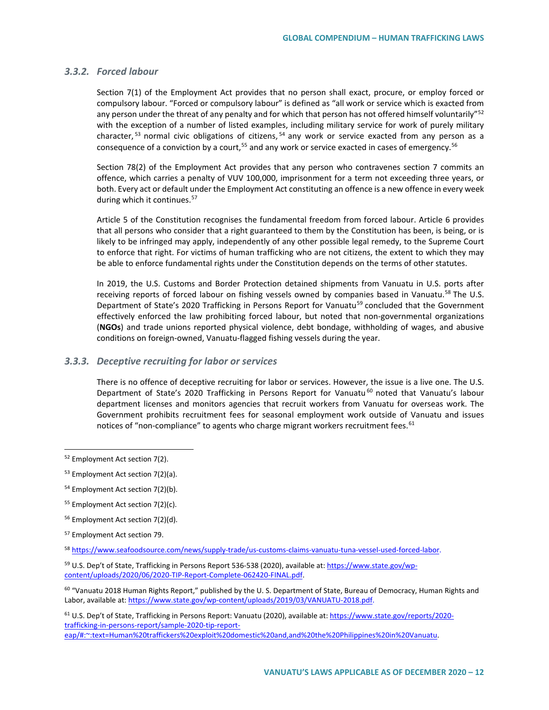### *3.3.2. Forced labour*

Section 7(1) of the Employment Act provides that no person shall exact, procure, or employ forced or compulsory labour. "Forced or compulsory labour" is defined as "all work or service which is exacted from any person under the threat of any penalty and for which that person has not offered himself voluntarily"<sup>[52](#page-11-0)</sup> with the exception of a number of listed examples, including military service for work of purely military character, <sup>[53](#page-11-1)</sup> normal civic obligations of citizens, <sup>[54](#page-11-2)</sup> any work or service exacted from any person as a consequence of a conviction by a court,<sup>[55](#page-11-3)</sup> and any work or service exacted in cases of emergency.<sup>[56](#page-11-4)</sup>

Section 78(2) of the Employment Act provides that any person who contravenes section 7 commits an offence, which carries a penalty of VUV 100,000, imprisonment for a term not exceeding three years, or both. Every act or default under the Employment Act constituting an offence is a new offence in every week during which it continues.<sup>[57](#page-11-5)</sup>

Article 5 of the Constitution recognises the fundamental freedom from forced labour. Article 6 provides that all persons who consider that a right guaranteed to them by the Constitution has been, is being, or is likely to be infringed may apply, independently of any other possible legal remedy, to the Supreme Court to enforce that right. For victims of human trafficking who are not citizens, the extent to which they may be able to enforce fundamental rights under the Constitution depends on the terms of other statutes.

In 2019, the U.S. Customs and Border Protection detained shipments from Vanuatu in U.S. ports after receiving reports of forced labour on fishing vessels owned by companies based in Vanuatu.<sup>[58](#page-11-6)</sup> The U.S. Department of State's 2020 Trafficking in Persons Report for Vanuatu<sup>[59](#page-11-7)</sup> concluded that the Government effectively enforced the law prohibiting forced labour, but noted that non-governmental organizations (**NGOs**) and trade unions reported physical violence, debt bondage, withholding of wages, and abusive conditions on foreign-owned, Vanuatu-flagged fishing vessels during the year.

### *3.3.3. Deceptive recruiting for labor or services*

There is no offence of deceptive recruiting for labor or services. However, the issue is a live one. The U.S. Department of State's 2020 Trafficking in Persons Report for Vanuatu<sup>[60](#page-11-8)</sup> noted that Vanuatu's labour department licenses and monitors agencies that recruit workers from Vanuatu for overseas work. The Government prohibits recruitment fees for seasonal employment work outside of Vanuatu and issues notices of "non-compliance" to agents who charge migrant workers recruitment fees.<sup>[61](#page-11-9)</sup>

- <span id="page-11-3"></span><sup>55</sup> Employment Act section 7(2)(c).
- <span id="page-11-4"></span><sup>56</sup> Employment Act section 7(2)(d).

<span id="page-11-7"></span><sup>59</sup> U.S. Dep't of State, Trafficking in Persons Report 536-538 (2020), available at: [https://www.state.gov/wp](https://www.state.gov/wp-content/uploads/2020/06/2020-TIP-Report-Complete-062420-FINAL.pdf)[content/uploads/2020/06/2020-TIP-Report-Complete-062420-FINAL.pdf.](https://www.state.gov/wp-content/uploads/2020/06/2020-TIP-Report-Complete-062420-FINAL.pdf)

<span id="page-11-8"></span> $60$  "Vanuatu 2018 Human Rights Report," published by the U. S. Department of State, Bureau of Democracy, Human Rights and Labor, available at[: https://www.state.gov/wp-content/uploads/2019/03/VANUATU-2018.pdf.](https://www.state.gov/wp-content/uploads/2019/03/VANUATU-2018.pdf)

<span id="page-11-9"></span><sup>61</sup> U.S. Dep't of State, Trafficking in Persons Report: Vanuatu (2020), available at: [https://www.state.gov/reports/2020](https://www.state.gov/reports/2020-trafficking-in-persons-report/sample-2020-tip-report-eap/#:%7E:text=Human%20traffickers%20exploit%20domestic%20and,and%20the%20Philippines%20in%20Vanuatu) [trafficking-in-persons-report/sample-2020-tip-report](https://www.state.gov/reports/2020-trafficking-in-persons-report/sample-2020-tip-report-eap/#:%7E:text=Human%20traffickers%20exploit%20domestic%20and,and%20the%20Philippines%20in%20Vanuatu)[eap/#:~:text=Human%20traffickers%20exploit%20domestic%20and,and%20the%20Philippines%20in%20Vanuatu.](https://www.state.gov/reports/2020-trafficking-in-persons-report/sample-2020-tip-report-eap/#:%7E:text=Human%20traffickers%20exploit%20domestic%20and,and%20the%20Philippines%20in%20Vanuatu)

<span id="page-11-0"></span> <sup>52</sup> Employment Act section 7(2).

<span id="page-11-1"></span><sup>53</sup> Employment Act section 7(2)(a).

<span id="page-11-2"></span><sup>54</sup> Employment Act section 7(2)(b).

<span id="page-11-5"></span><sup>57</sup> Employment Act section 79.

<span id="page-11-6"></span><sup>58</sup> [https://www.seafoodsource.com/news/supply-trade/us-customs-claims-vanuatu-tuna-vessel-used-forced-labor.](https://www.seafoodsource.com/news/supply-trade/us-customs-claims-vanuatu-tuna-vessel-used-forced-labor)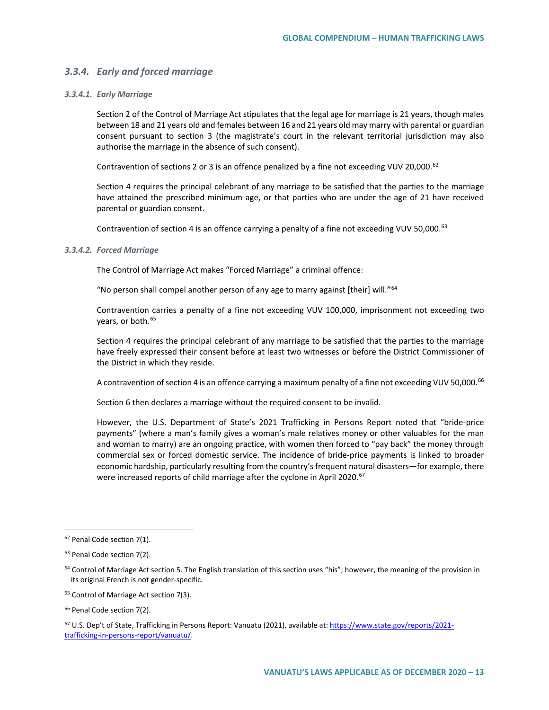### *3.3.4. Early and forced marriage*

#### *3.3.4.1. Early Marriage*

Section 2 of the Control of Marriage Act stipulates that the legal age for marriage is 21 years, though males between 18 and 21 years old and females between 16 and 21 years old may marry with parental or guardian consent pursuant to section 3 (the magistrate's court in the relevant territorial jurisdiction may also authorise the marriage in the absence of such consent).

Contravention of sections 2 or 3 is an offence penalized by a fine not exceeding VUV 20,000.<sup>[62](#page-12-0)</sup>

Section 4 requires the principal celebrant of any marriage to be satisfied that the parties to the marriage have attained the prescribed minimum age, or that parties who are under the age of 21 have received parental or guardian consent.

Contravention of section 4 is an offence carrying a penalty of a fine not exceeding VUV 50,000.<sup>63</sup>

#### *3.3.4.2. Forced Marriage*

The Control of Marriage Act makes "Forced Marriage" a criminal offence:

"No person shall compel another person of any age to marry against [their] will."<sup>[64](#page-12-2)</sup>

Contravention carries a penalty of a fine not exceeding VUV 100,000, imprisonment not exceeding two years, or both.<sup>[65](#page-12-3)</sup>

Section 4 requires the principal celebrant of any marriage to be satisfied that the parties to the marriage have freely expressed their consent before at least two witnesses or before the District Commissioner of the District in which they reside.

A contravention of section 4 is an offence carrying a maximum penalty of a fine not exceeding VUV 50,000.<sup>[66](#page-12-4)</sup>

Section 6 then declares a marriage without the required consent to be invalid.

However, the U.S. Department of State's 2021 Trafficking in Persons Report noted that "bride-price payments" (where a man's family gives a woman's male relatives money or other valuables for the man and woman to marry) are an ongoing practice, with women then forced to "pay back" the money through commercial sex or forced domestic service. The incidence of bride-price payments is linked to broader economic hardship, particularly resulting from the country's frequent natural disasters—for example, there were increased reports of child marriage after the cyclone in April 2020.<sup>[67](#page-12-5)</sup>

<span id="page-12-0"></span><sup>&</sup>lt;sup>62</sup> Penal Code section 7(1).

<span id="page-12-1"></span><sup>&</sup>lt;sup>63</sup> Penal Code section 7(2).

<span id="page-12-2"></span> $64$  Control of Marriage Act section 5. The English translation of this section uses "his"; however, the meaning of the provision in its original French is not gender-specific.

<span id="page-12-3"></span><sup>65</sup> Control of Marriage Act section 7(3).

<span id="page-12-4"></span><sup>&</sup>lt;sup>66</sup> Penal Code section 7(2).

<span id="page-12-5"></span><sup>&</sup>lt;sup>67</sup> U.S. Dep't of State, Trafficking in Persons Report: Vanuatu (2021), available at: [https://www.state.gov/reports/2021](https://www.state.gov/reports/2021-trafficking-in-persons-report/vanuatu/) [trafficking-in-persons-report/vanuatu/.](https://www.state.gov/reports/2021-trafficking-in-persons-report/vanuatu/)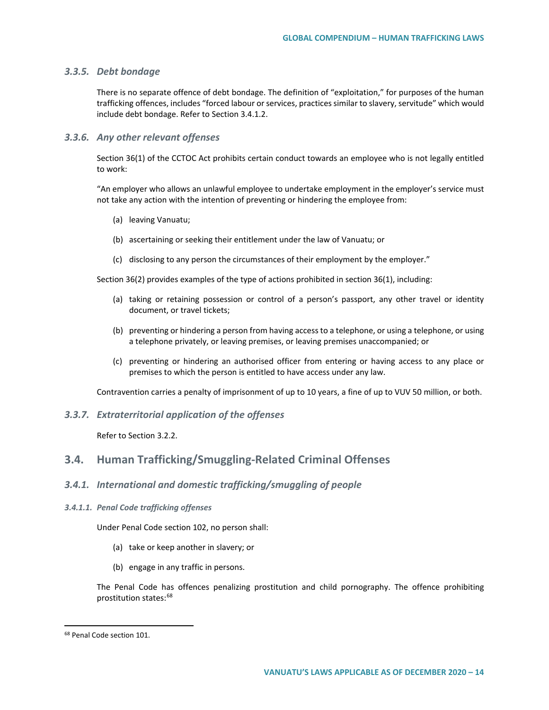#### *3.3.5. Debt bondage*

There is no separate offence of debt bondage. The definition of "exploitation," for purposes of the human trafficking offences, includes "forced labour or services, practices similar to slavery, servitude" which would include debt bondage. Refer to Section 3.4.1.2.

#### *3.3.6. Any other relevant offenses*

Section 36(1) of the CCTOC Act prohibits certain conduct towards an employee who is not legally entitled to work:

"An employer who allows an unlawful employee to undertake employment in the employer's service must not take any action with the intention of preventing or hindering the employee from:

- (a) leaving Vanuatu;
- (b) ascertaining or seeking their entitlement under the law of Vanuatu; or
- (c) disclosing to any person the circumstances of their employment by the employer."

Section 36(2) provides examples of the type of actions prohibited in section 36(1), including:

- (a) taking or retaining possession or control of a person's passport, any other travel or identity document, or travel tickets;
- (b) preventing or hindering a person from having access to a telephone, or using a telephone, or using a telephone privately, or leaving premises, or leaving premises unaccompanied; or
- (c) preventing or hindering an authorised officer from entering or having access to any place or premises to which the person is entitled to have access under any law.

Contravention carries a penalty of imprisonment of up to 10 years, a fine of up to VUV 50 million, or both.

### *3.3.7. Extraterritorial application of the offenses*

Refer to Section 3.2.2.

### **3.4. Human Trafficking/Smuggling-Related Criminal Offenses**

### *3.4.1. International and domestic trafficking/smuggling of people*

#### *3.4.1.1. Penal Code trafficking offenses*

Under Penal Code section 102, no person shall:

- (a) take or keep another in slavery; or
- (b) engage in any traffic in persons.

The Penal Code has offences penalizing prostitution and child pornography. The offence prohibiting prostitution states:<sup>[68](#page-13-0)</sup>

<span id="page-13-0"></span> <sup>68</sup> Penal Code section 101.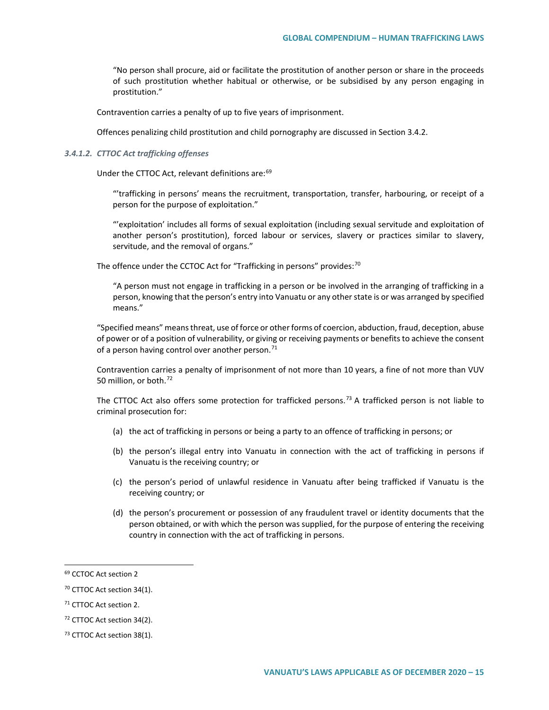"No person shall procure, aid or facilitate the prostitution of another person or share in the proceeds of such prostitution whether habitual or otherwise, or be subsidised by any person engaging in prostitution."

Contravention carries a penalty of up to five years of imprisonment.

Offences penalizing child prostitution and child pornography are discussed in Section 3.4.2.

#### *3.4.1.2. CTTOC Act trafficking offenses*

Under the CTTOC Act, relevant definitions are:<sup>[69](#page-14-0)</sup>

"'trafficking in persons' means the recruitment, transportation, transfer, harbouring, or receipt of a person for the purpose of exploitation."

"'exploitation' includes all forms of sexual exploitation (including sexual servitude and exploitation of another person's prostitution), forced labour or services, slavery or practices similar to slavery, servitude, and the removal of organs."

The offence under the CCTOC Act for "Trafficking in persons" provides: $70$ 

"A person must not engage in trafficking in a person or be involved in the arranging of trafficking in a person, knowing that the person's entry into Vanuatu or any other state is or was arranged by specified means."

"Specified means" means threat, use of force or other forms of coercion, abduction, fraud, deception, abuse of power or of a position of vulnerability, or giving or receiving payments or benefits to achieve the consent of a person having control over another person. $71$ 

Contravention carries a penalty of imprisonment of not more than 10 years, a fine of not more than VUV 50 million, or both.<sup>[72](#page-14-3)</sup>

The CTTOC Act also offers some protection for trafficked persons.<sup>[73](#page-14-4)</sup> A trafficked person is not liable to criminal prosecution for:

- (a) the act of trafficking in persons or being a party to an offence of trafficking in persons; or
- (b) the person's illegal entry into Vanuatu in connection with the act of trafficking in persons if Vanuatu is the receiving country; or
- (c) the person's period of unlawful residence in Vanuatu after being trafficked if Vanuatu is the receiving country; or
- (d) the person's procurement or possession of any fraudulent travel or identity documents that the person obtained, or with which the person was supplied, for the purpose of entering the receiving country in connection with the act of trafficking in persons.

<span id="page-14-0"></span> <sup>69</sup> CCTOC Act section <sup>2</sup>

<span id="page-14-1"></span><sup>70</sup> CTTOC Act section 34(1).

<span id="page-14-2"></span><sup>&</sup>lt;sup>71</sup> CTTOC Act section 2.

<span id="page-14-3"></span><sup>72</sup> CTTOC Act section 34(2).

<span id="page-14-4"></span><sup>&</sup>lt;sup>73</sup> CTTOC Act section 38(1).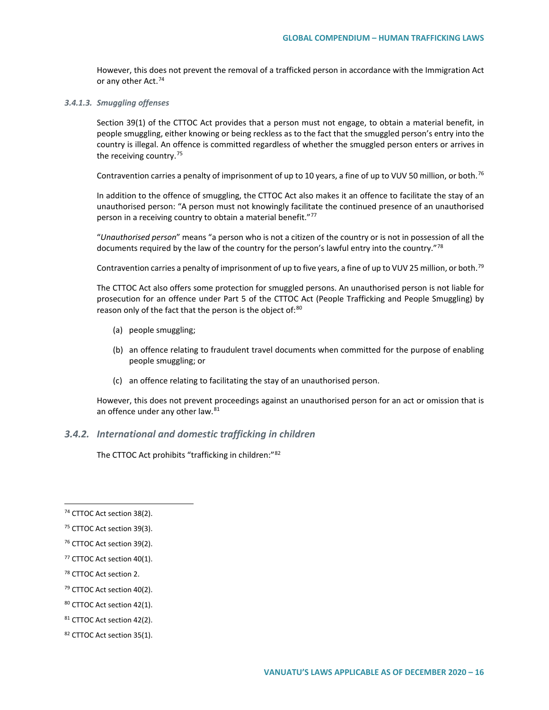However, this does not prevent the removal of a trafficked person in accordance with the Immigration Act or any other Act.<sup>[74](#page-15-0)</sup>

#### *3.4.1.3. Smuggling offenses*

Section 39(1) of the CTTOC Act provides that a person must not engage, to obtain a material benefit, in people smuggling, either knowing or being reckless as to the fact that the smuggled person's entry into the country is illegal. An offence is committed regardless of whether the smuggled person enters or arrives in the receiving country.<sup>[75](#page-15-1)</sup>

Contravention carries a penalty of imprisonment of up to 10 years, a fine of up to VUV 50 million, or both.<sup>[76](#page-15-2)</sup>

In addition to the offence of smuggling, the CTTOC Act also makes it an offence to facilitate the stay of an unauthorised person: "A person must not knowingly facilitate the continued presence of an unauthorised person in a receiving country to obtain a material benefit."<sup>[77](#page-15-3)</sup>

"*Unauthorised person*" means "a person who is not a citizen of the country or is not in possession of all the documents required by the law of the country for the person's lawful entry into the country."<sup>[78](#page-15-4)</sup>

Contravention carries a penalty of imprisonment of up to five years, a fine of up to VUV 25 million, or both.<sup>[79](#page-15-5)</sup>

The CTTOC Act also offers some protection for smuggled persons. An unauthorised person is not liable for prosecution for an offence under Part 5 of the CTTOC Act (People Trafficking and People Smuggling) by reason only of the fact that the person is the object of:<sup>[80](#page-15-6)</sup>

- (a) people smuggling;
- (b) an offence relating to fraudulent travel documents when committed for the purpose of enabling people smuggling; or
- (c) an offence relating to facilitating the stay of an unauthorised person.

However, this does not prevent proceedings against an unauthorised person for an act or omission that is an offence under any other law.<sup>[81](#page-15-7)</sup>

### *3.4.2. International and domestic trafficking in children*

The CTTOC Act prohibits "trafficking in children:"[82](#page-15-8)

<span id="page-15-0"></span> <sup>74</sup> CTTOC Act section 38(2).

<span id="page-15-1"></span><sup>&</sup>lt;sup>75</sup> CTTOC Act section 39(3).

<span id="page-15-2"></span><sup>76</sup> CTTOC Act section 39(2).

<span id="page-15-3"></span><sup>77</sup> CTTOC Act section 40(1).

<span id="page-15-4"></span><sup>78</sup> CTTOC Act section 2.

<span id="page-15-5"></span><sup>79</sup> CTTOC Act section 40(2).

<span id="page-15-6"></span><sup>80</sup> CTTOC Act section 42(1).

<span id="page-15-7"></span><sup>81</sup> CTTOC Act section 42(2).

<span id="page-15-8"></span><sup>82</sup> CTTOC Act section 35(1).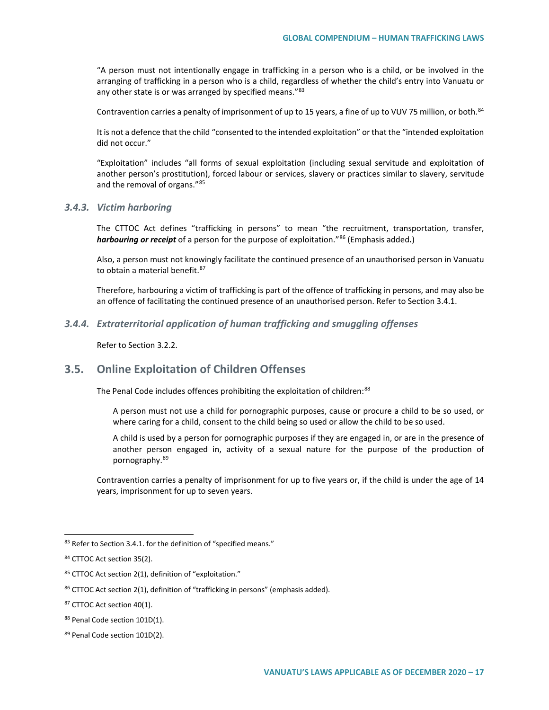"A person must not intentionally engage in trafficking in a person who is a child, or be involved in the arranging of trafficking in a person who is a child, regardless of whether the child's entry into Vanuatu or any other state is or was arranged by specified means."<sup>[83](#page-16-0)</sup>

Contravention carries a penalty of imprisonment of up to 15 years, a fine of up to VUV 75 million, or both.<sup>[84](#page-16-1)</sup>

It is not a defence that the child "consented to the intended exploitation" or that the "intended exploitation did not occur."

"Exploitation" includes "all forms of sexual exploitation (including sexual servitude and exploitation of another person's prostitution), forced labour or services, slavery or practices similar to slavery, servitude and the removal of organs."[85](#page-16-2)

### *3.4.3. Victim harboring*

The CTTOC Act defines "trafficking in persons" to mean "the recruitment, transportation, transfer, *harbouring or receipt* of a person for the purpose of exploitation."[86](#page-16-3) (Emphasis added**.**)

Also, a person must not knowingly facilitate the continued presence of an unauthorised person in Vanuatu to obtain a material benefit.<sup>[87](#page-16-4)</sup>

Therefore, harbouring a victim of trafficking is part of the offence of trafficking in persons, and may also be an offence of facilitating the continued presence of an unauthorised person. Refer to Section 3.4.1.

#### *3.4.4. Extraterritorial application of human trafficking and smuggling offenses*

Refer to Section 3.2.2.

### **3.5. Online Exploitation of Children Offenses**

The Penal Code includes offences prohibiting the exploitation of children:<sup>[88](#page-16-5)</sup>

A person must not use a child for pornographic purposes, cause or procure a child to be so used, or where caring for a child, consent to the child being so used or allow the child to be so used.

A child is used by a person for pornographic purposes if they are engaged in, or are in the presence of another person engaged in, activity of a sexual nature for the purpose of the production of pornography.[89](#page-16-6)

Contravention carries a penalty of imprisonment for up to five years or, if the child is under the age of 14 years, imprisonment for up to seven years.

<span id="page-16-0"></span><sup>83</sup> Refer to Section 3.4.1. for the definition of "specified means."

<span id="page-16-1"></span><sup>84</sup> CTTOC Act section 35(2).

<span id="page-16-2"></span><sup>85</sup> CTTOC Act section 2(1), definition of "exploitation."

<span id="page-16-3"></span><sup>86</sup> CTTOC Act section 2(1), definition of "trafficking in persons" (emphasis added).

<span id="page-16-4"></span><sup>&</sup>lt;sup>87</sup> CTTOC Act section 40(1).

<span id="page-16-5"></span><sup>88</sup> Penal Code section 101D(1).

<span id="page-16-6"></span><sup>89</sup> Penal Code section 101D(2).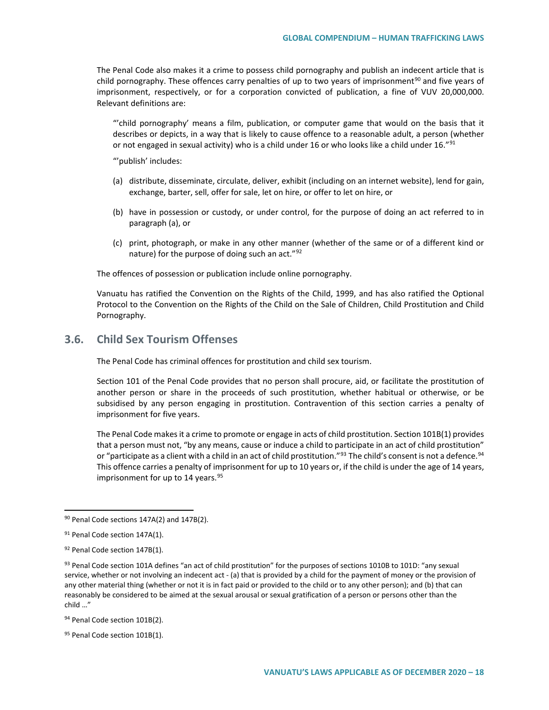The Penal Code also makes it a crime to possess child pornography and publish an indecent article that is child pornography. These offences carry penalties of up to two years of imprisonment<sup>[90](#page-17-0)</sup> and five years of imprisonment, respectively, or for a corporation convicted of publication, a fine of VUV 20,000,000. Relevant definitions are:

"'child pornography' means a film, publication, or computer game that would on the basis that it describes or depicts, in a way that is likely to cause offence to a reasonable adult, a person (whether or not engaged in sexual activity) who is a child under 16 or who looks like a child under 16."<sup>[91](#page-17-1)</sup>

"'publish' includes:

- (a) distribute, disseminate, circulate, deliver, exhibit (including on an internet website), lend for gain, exchange, barter, sell, offer for sale, let on hire, or offer to let on hire, or
- (b) have in possession or custody, or under control, for the purpose of doing an act referred to in paragraph (a), or
- (c) print, photograph, or make in any other manner (whether of the same or of a different kind or nature) for the purpose of doing such an act."<sup>[92](#page-17-2)</sup>

The offences of possession or publication include online pornography.

Vanuatu has ratified the Convention on the Rights of the Child, 1999, and has also ratified the Optional Protocol to the Convention on the Rights of the Child on the Sale of Children, Child Prostitution and Child Pornography.

### **3.6. Child Sex Tourism Offenses**

The Penal Code has criminal offences for prostitution and child sex tourism.

Section 101 of the Penal Code provides that no person shall procure, aid, or facilitate the prostitution of another person or share in the proceeds of such prostitution, whether habitual or otherwise, or be subsidised by any person engaging in prostitution. Contravention of this section carries a penalty of imprisonment for five years.

The Penal Code makes it a crime to promote or engage in acts of child prostitution. Section 101B(1) provides that a person must not, "by any means, cause or induce a child to participate in an act of child prostitution" or "participate as a client with a child in an act of child prostitution."<sup>[93](#page-17-3)</sup> The child's consent is not a defence.<sup>94</sup> This offence carries a penalty of imprisonment for up to 10 years or, if the child is under the age of 14 years, imprisonment for up to 14 years. $95$ 

<span id="page-17-4"></span>94 Penal Code section 101B(2).

<span id="page-17-0"></span><sup>90</sup> Penal Code sections 147A(2) and 147B(2).

<span id="page-17-1"></span><sup>&</sup>lt;sup>91</sup> Penal Code section 147A(1).

<span id="page-17-2"></span><sup>92</sup> Penal Code section 147B(1).

<span id="page-17-3"></span><sup>93</sup> Penal Code section 101A defines "an act of child prostitution" for the purposes of sections 1010B to 101D: "any sexual service, whether or not involving an indecent act - (a) that is provided by a child for the payment of money or the provision of any other material thing (whether or not it is in fact paid or provided to the child or to any other person); and (b) that can reasonably be considered to be aimed at the sexual arousal or sexual gratification of a person or persons other than the child …"

<span id="page-17-5"></span><sup>95</sup> Penal Code section 101B(1).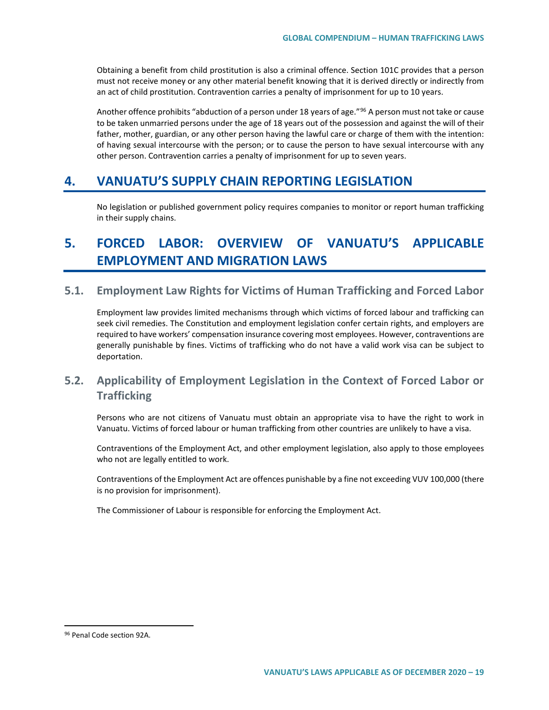Obtaining a benefit from child prostitution is also a criminal offence. Section 101C provides that a person must not receive money or any other material benefit knowing that it is derived directly or indirectly from an act of child prostitution. Contravention carries a penalty of imprisonment for up to 10 years.

Another offence prohibits "abduction of a person under 18 years of age."<sup>[96](#page-18-0)</sup> A person must not take or cause to be taken unmarried persons under the age of 18 years out of the possession and against the will of their father, mother, guardian, or any other person having the lawful care or charge of them with the intention: of having sexual intercourse with the person; or to cause the person to have sexual intercourse with any other person. Contravention carries a penalty of imprisonment for up to seven years.

# **4. VANUATU'S SUPPLY CHAIN REPORTING LEGISLATION**

No legislation or published government policy requires companies to monitor or report human trafficking in their supply chains.

# **5. FORCED LABOR: OVERVIEW OF VANUATU'S APPLICABLE EMPLOYMENT AND MIGRATION LAWS**

### **5.1. Employment Law Rights for Victims of Human Trafficking and Forced Labor**

Employment law provides limited mechanisms through which victims of forced labour and trafficking can seek civil remedies. The Constitution and employment legislation confer certain rights, and employers are required to have workers' compensation insurance covering most employees. However, contraventions are generally punishable by fines. Victims of trafficking who do not have a valid work visa can be subject to deportation.

## **5.2. Applicability of Employment Legislation in the Context of Forced Labor or Trafficking**

Persons who are not citizens of Vanuatu must obtain an appropriate visa to have the right to work in Vanuatu. Victims of forced labour or human trafficking from other countries are unlikely to have a visa.

Contraventions of the Employment Act, and other employment legislation, also apply to those employees who not are legally entitled to work.

Contraventions of the Employment Act are offences punishable by a fine not exceeding VUV 100,000 (there is no provision for imprisonment).

The Commissioner of Labour is responsible for enforcing the Employment Act.

<span id="page-18-0"></span><sup>96</sup> Penal Code section 92A.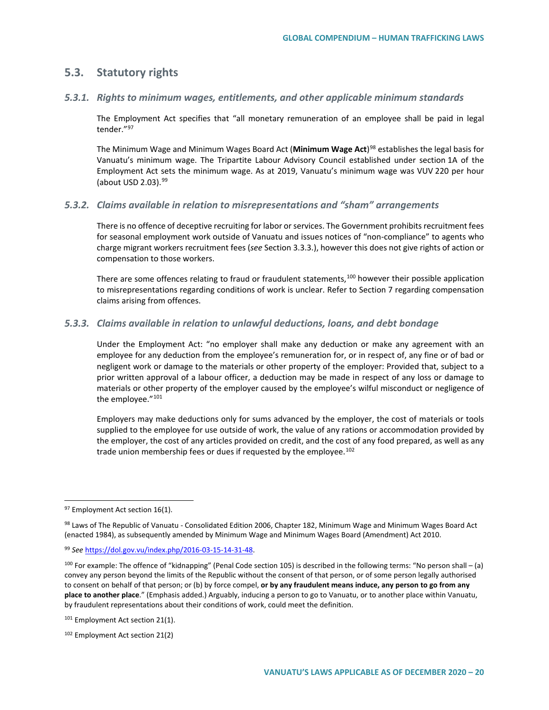### **5.3. Statutory rights**

### *5.3.1. Rights to minimum wages, entitlements, and other applicable minimum standards*

The Employment Act specifies that "all monetary remuneration of an employee shall be paid in legal tender.["97](#page-19-0)

The Minimum Wage and Minimum Wages Board Act (**Minimum Wage Act**)[98](#page-19-1) establishes the legal basis for Vanuatu's minimum wage. The Tripartite Labour Advisory Council established under section 1A of the Employment Act sets the minimum wage. As at 2019, Vanuatu's minimum wage was VUV 220 per hour (about USD  $2.03$ ).  $99$ 

### *5.3.2. Claims available in relation to misrepresentations and "sham" arrangements*

There is no offence of deceptive recruiting for labor or services. The Government prohibits recruitment fees for seasonal employment work outside of Vanuatu and issues notices of "non-compliance" to agents who charge migrant workers recruitment fees (*see* Section 3.3.3.), however this does not give rights of action or compensation to those workers.

There are some offences relating to fraud or fraudulent statements,<sup>[100](#page-19-3)</sup> however their possible application to misrepresentations regarding conditions of work is unclear. Refer to Section 7 regarding compensation claims arising from offences.

### *5.3.3. Claims available in relation to unlawful deductions, loans, and debt bondage*

Under the Employment Act: "no employer shall make any deduction or make any agreement with an employee for any deduction from the employee's remuneration for, or in respect of, any fine or of bad or negligent work or damage to the materials or other property of the employer: Provided that, subject to a prior written approval of a labour officer, a deduction may be made in respect of any loss or damage to materials or other property of the employer caused by the employee's wilful misconduct or negligence of the employee."<sup>[101](#page-19-4)</sup>

Employers may make deductions only for sums advanced by the employer, the cost of materials or tools supplied to the employee for use outside of work, the value of any rations or accommodation provided by the employer, the cost of any articles provided on credit, and the cost of any food prepared, as well as any trade union membership fees or dues if requested by the employee.<sup>[102](#page-19-5)</sup>

<span id="page-19-0"></span><sup>&</sup>lt;sup>97</sup> Employment Act section 16(1).

<span id="page-19-1"></span><sup>98</sup> Laws of The Republic of Vanuatu - Consolidated Edition 2006, Chapter 182, Minimum Wage and Minimum Wages Board Act (enacted 1984), as subsequently amended by Minimum Wage and Minimum Wages Board (Amendment) Act 2010.

<span id="page-19-2"></span><sup>99</sup> *See* [https://dol.gov.vu/index.php/2016-03-15-14-31-48.](https://dol.gov.vu/index.php/2016-03-15-14-31-48)

<span id="page-19-3"></span> $100$  For example: The offence of "kidnapping" (Penal Code section 105) is described in the following terms: "No person shall – (a) convey any person beyond the limits of the Republic without the consent of that person, or of some person legally authorised to consent on behalf of that person; or (b) by force compel, **or by any fraudulent means induce, any person to go from any place to another place**." (Emphasis added.) Arguably, inducing a person to go to Vanuatu, or to another place within Vanuatu, by fraudulent representations about their conditions of work, could meet the definition.

<span id="page-19-4"></span><sup>&</sup>lt;sup>101</sup> Employment Act section 21(1).

<span id="page-19-5"></span><sup>102</sup> Employment Act section 21(2)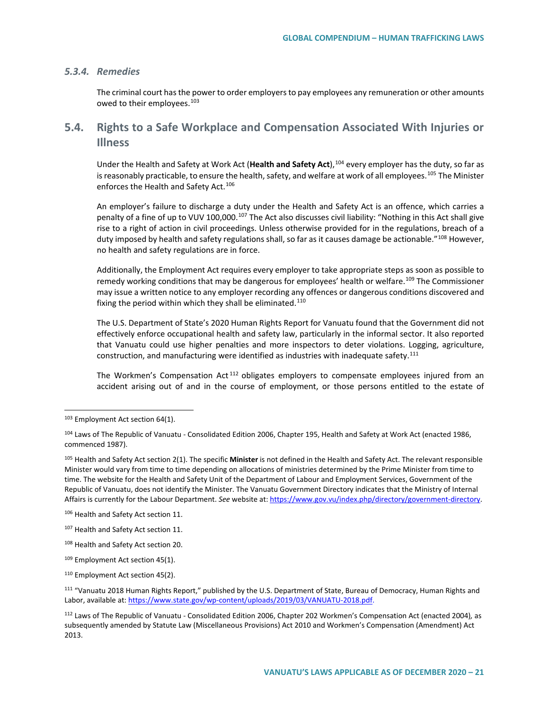### *5.3.4. Remedies*

The criminal court has the power to order employers to pay employees any remuneration or other amounts owed to their employees.<sup>[103](#page-20-0)</sup>

## **5.4. Rights to a Safe Workplace and Compensation Associated With Injuries or Illness**

Under the Health and Safety at Work Act (**Health and Safety Act**),[104](#page-20-1) every employer has the duty, so far as is reasonably practicable, to ensure the health, safety, and welfare at work of all employees.<sup>[105](#page-20-2)</sup> The Minister enforces the Health and Safety Act.<sup>[106](#page-20-3)</sup>

An employer's failure to discharge a duty under the Health and Safety Act is an offence, which carries a penalty of a fine of up to VUV 100,000.<sup>[107](#page-20-4)</sup> The Act also discusses civil liability: "Nothing in this Act shall give rise to a right of action in civil proceedings. Unless otherwise provided for in the regulations, breach of a duty imposed by health and safety regulations shall, so far as it causes damage be actionable."<sup>[108](#page-20-5)</sup> However, no health and safety regulations are in force.

Additionally, the Employment Act requires every employer to take appropriate steps as soon as possible to remedy working conditions that may be dangerous for employees' health or welfare.<sup>[109](#page-20-6)</sup> The Commissioner may issue a written notice to any employer recording any offences or dangerous conditions discovered and fixing the period within which they shall be eliminated.<sup>[110](#page-20-7)</sup>

The U.S. Department of State's 2020 Human Rights Report for Vanuatu found that the Government did not effectively enforce occupational health and safety law, particularly in the informal sector. It also reported that Vanuatu could use higher penalties and more inspectors to deter violations. Logging, agriculture, construction, and manufacturing were identified as industries with inadequate safety.<sup>[111](#page-20-8)</sup>

The Workmen's Compensation Act<sup>[112](#page-20-9)</sup> obligates employers to compensate employees injured from an accident arising out of and in the course of employment, or those persons entitled to the estate of

<span id="page-20-0"></span><sup>&</sup>lt;sup>103</sup> Employment Act section 64(1).

<span id="page-20-1"></span><sup>104</sup> Laws of The Republic of Vanuatu - Consolidated Edition 2006, Chapter 195, Health and Safety at Work Act (enacted 1986, commenced 1987).

<span id="page-20-2"></span><sup>105</sup> Health and Safety Act section 2(1). The specific **Minister** is not defined in the Health and Safety Act. The relevant responsible Minister would vary from time to time depending on allocations of ministries determined by the Prime Minister from time to time. The website for the Health and Safety Unit of the Department of Labour and Employment Services, Government of the Republic of Vanuatu, does not identify the Minister. The Vanuatu Government Directory indicates that the Ministry of Internal Affairs is currently for the Labour Department. *See* website at[: https://www.gov.vu/index.php/directory/government-directory.](https://www.gov.vu/index.php/directory/government-directory)

<span id="page-20-3"></span><sup>106</sup> Health and Safety Act section 11.

<span id="page-20-4"></span><sup>107</sup> Health and Safety Act section 11.

<span id="page-20-5"></span><sup>108</sup> Health and Safety Act section 20.

<span id="page-20-6"></span><sup>&</sup>lt;sup>109</sup> Employment Act section 45(1).

<span id="page-20-7"></span><sup>&</sup>lt;sup>110</sup> Employment Act section 45(2).

<span id="page-20-8"></span><sup>111</sup> "Vanuatu 2018 Human Rights Report," published by the U.S. Department of State, Bureau of Democracy, Human Rights and Labor, available at[: https://www.state.gov/wp-content/uploads/2019/03/VANUATU-2018.pdf.](https://www.state.gov/wp-content/uploads/2019/03/VANUATU-2018.pdf)

<span id="page-20-9"></span><sup>112</sup> Laws of The Republic of Vanuatu - Consolidated Edition 2006, Chapter 202 Workmen's Compensation Act (enacted 2004)*,* as subsequently amended by Statute Law (Miscellaneous Provisions) Act 2010 and Workmen's Compensation (Amendment) Act 2013.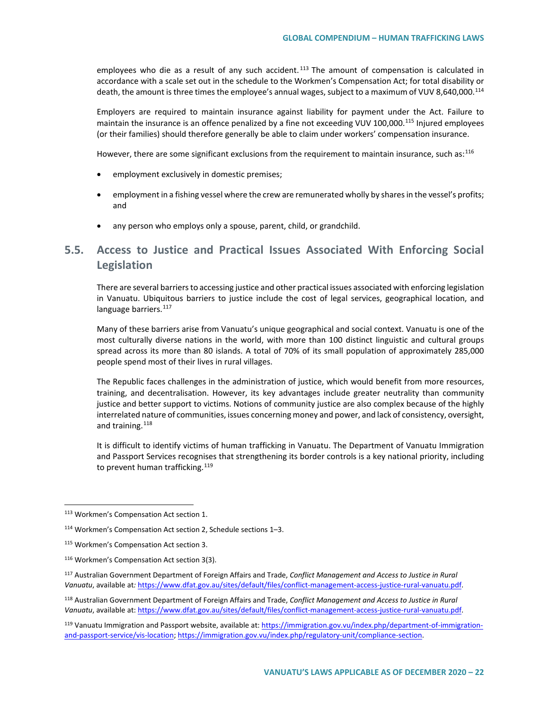employees who die as a result of any such accident.<sup>[113](#page-21-0)</sup> The amount of compensation is calculated in accordance with a scale set out in the schedule to the Workmen's Compensation Act; for total disability or death, the amount is three times the employee's annual wages, subject to a maximum of VUV 8,640,000.<sup>[114](#page-21-1)</sup>

Employers are required to maintain insurance against liability for payment under the Act. Failure to maintain the insurance is an offence penalized by a fine not exceeding VUV 100,000.<sup>[115](#page-21-2)</sup> Injured employees (or their families) should therefore generally be able to claim under workers' compensation insurance.

However, there are some significant exclusions from the requirement to maintain insurance, such as:<sup>[116](#page-21-3)</sup>

- employment exclusively in domestic premises;
- employment in a fishing vessel where the crew are remunerated wholly by shares in the vessel's profits; and
- any person who employs only a spouse, parent, child, or grandchild.

# **5.5. Access to Justice and Practical Issues Associated With Enforcing Social Legislation**

There are several barriers to accessing justice and other practical issues associated with enforcing legislation in Vanuatu. Ubiquitous barriers to justice include the cost of legal services, geographical location, and language barriers.<sup>[117](#page-21-4)</sup>

Many of these barriers arise from Vanuatu's unique geographical and social context. Vanuatu is one of the most culturally diverse nations in the world, with more than 100 distinct linguistic and cultural groups spread across its more than 80 islands. A total of 70% of its small population of approximately 285,000 people spend most of their lives in rural villages.

The Republic faces challenges in the administration of justice, which would benefit from more resources, training, and decentralisation. However, its key advantages include greater neutrality than community justice and better support to victims. Notions of community justice are also complex because of the highly interrelated nature of communities, issues concerning money and power, and lack of consistency, oversight, and training.<sup>[118](#page-21-5)</sup>

It is difficult to identify victims of human trafficking in Vanuatu. The Department of Vanuatu Immigration and Passport Services recognises that strengthening its border controls is a key national priority, including to prevent human trafficking.<sup>[119](#page-21-6)</sup>

<span id="page-21-0"></span> <sup>113</sup> Workmen's Compensation Act section 1.

<span id="page-21-1"></span><sup>114</sup> Workmen's Compensation Act section 2, Schedule sections 1–3.

<span id="page-21-2"></span><sup>115</sup> Workmen's Compensation Act section 3.

<span id="page-21-3"></span><sup>116</sup> Workmen's Compensation Act section 3(3).

<span id="page-21-4"></span><sup>117</sup> Australian Government Department of Foreign Affairs and Trade, *Conflict Management and Access to Justice in Rural Vanuatu*, available at*:* [https://www.dfat.gov.au/sites/default/files/conflict-management-access-justice-rural-vanuatu.pdf.](https://www.dfat.gov.au/sites/default/files/conflict-management-access-justice-rural-vanuatu.pdf)

<span id="page-21-5"></span><sup>118</sup> Australian Government Department of Foreign Affairs and Trade, *Conflict Management and Access to Justice in Rural Vanuatu*, available at[: https://www.dfat.gov.au/sites/default/files/conflict-management-access-justice-rural-vanuatu.pdf.](https://www.dfat.gov.au/sites/default/files/conflict-management-access-justice-rural-vanuatu.pdf)

<span id="page-21-6"></span><sup>119</sup> Vanuatu Immigration and Passport website, available at: [https://immigration.gov.vu/index.php/department-of-immigration](https://immigration.gov.vu/index.php/department-of-immigration-and-passport-service/vis-location)[and-passport-service/vis-location;](https://immigration.gov.vu/index.php/department-of-immigration-and-passport-service/vis-location) [https://immigration.gov.vu/index.php/regulatory-unit/compliance-section.](https://immigration.gov.vu/index.php/regulatory-unit/compliance-section)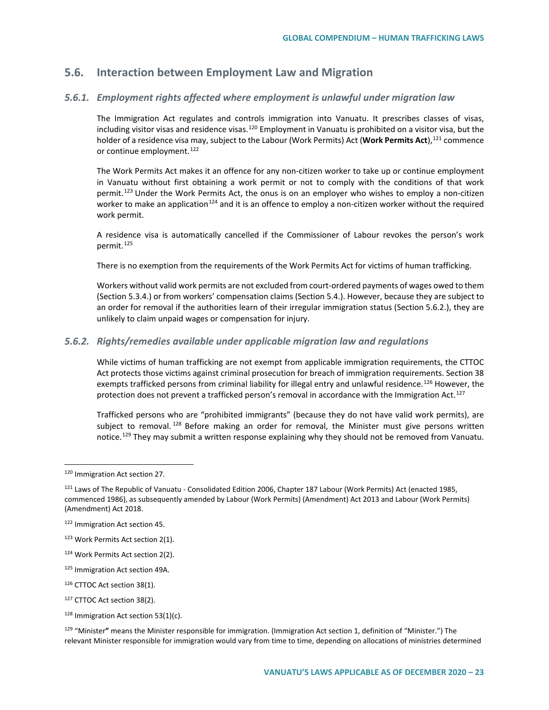## **5.6. Interaction between Employment Law and Migration**

### *5.6.1. Employment rights affected where employment is unlawful under migration law*

The Immigration Act regulates and controls immigration into Vanuatu. It prescribes classes of visas, including visitor visas and residence visas.<sup>[120](#page-22-0)</sup> Employment in Vanuatu is prohibited on a visitor visa, but the holder of a residence visa may, subject to the Labour (Work Permits) Act (Work Permits Act),<sup>[121](#page-22-1)</sup> commence or continue employment.<sup>[122](#page-22-2)</sup>

The Work Permits Act makes it an offence for any non-citizen worker to take up or continue employment in Vanuatu without first obtaining a work permit or not to comply with the conditions of that work permit.<sup>[123](#page-22-3)</sup> Under the Work Permits Act, the onus is on an employer who wishes to employ a non-citizen worker to make an application<sup>[124](#page-22-4)</sup> and it is an offence to employ a non-citizen worker without the required work permit.

A residence visa is automatically cancelled if the Commissioner of Labour revokes the person's work permit.<sup>[125](#page-22-5)</sup>

There is no exemption from the requirements of the Work Permits Act for victims of human trafficking.

Workers without valid work permits are not excluded from court-ordered payments of wages owed to them (Section 5.3.4.) or from workers' compensation claims (Section 5.4.). However, because they are subject to an order for removal if the authorities learn of their irregular immigration status (Section 5.6.2.), they are unlikely to claim unpaid wages or compensation for injury.

### *5.6.2. Rights/remedies available under applicable migration law and regulations*

While victims of human trafficking are not exempt from applicable immigration requirements, the CTTOC Act protects those victims against criminal prosecution for breach of immigration requirements. Section 38 exempts trafficked persons from criminal liability for illegal entry and unlawful residence.<sup>[126](#page-22-6)</sup> However, the protection does not prevent a trafficked person's removal in accordance with the Immigration Act.<sup>[127](#page-22-7)</sup>

Trafficked persons who are "prohibited immigrants" (because they do not have valid work permits), are subiect to removal.<sup>[128](#page-22-8)</sup> Before making an order for removal, the Minister must give persons written notice.<sup>[129](#page-22-9)</sup> They may submit a written response explaining why they should not be removed from Vanuatu.

 $128$  Immigration Act section 53(1)(c).

<sup>129</sup> "Minister**"** means the Minister responsible for immigration. (Immigration Act section 1, definition of "Minister.") The relevant Minister responsible for immigration would vary from time to time, depending on allocations of ministries determined

<span id="page-22-1"></span><span id="page-22-0"></span> <sup>120</sup> Immigration Act section 27.

<span id="page-22-2"></span><sup>&</sup>lt;sup>121</sup> Laws of The Republic of Vanuatu - Consolidated Edition 2006, Chapter 187 Labour (Work Permits) Act (enacted 1985, commenced 1986), as subsequently amended by Labour (Work Permits) (Amendment) Act 2013 and Labour (Work Permits) (Amendment) Act 2018.

<span id="page-22-4"></span><span id="page-22-3"></span><sup>122</sup> Immigration Act section 45.

<sup>123</sup> Work Permits Act section 2(1).

<span id="page-22-6"></span><span id="page-22-5"></span><sup>124</sup> Work Permits Act section 2(2).

<span id="page-22-7"></span><sup>125</sup> Immigration Act section 49A.

<sup>126</sup> CTTOC Act section 38(1).

<span id="page-22-9"></span><span id="page-22-8"></span><sup>127</sup> CTTOC Act section 38(2).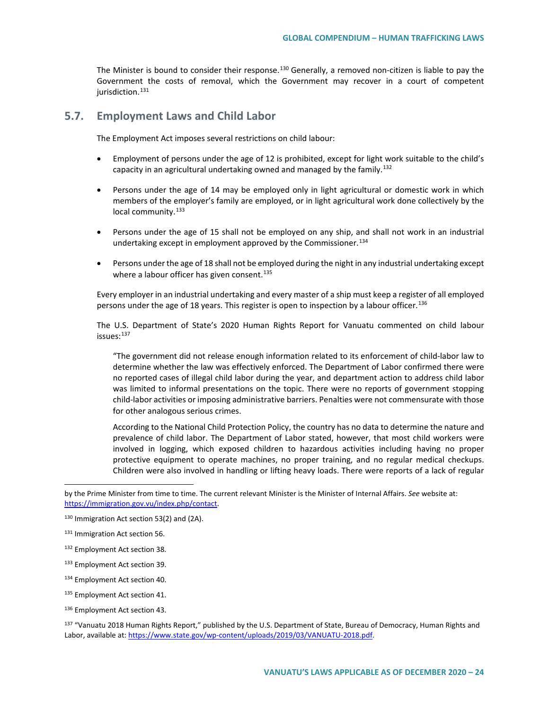The Minister is bound to consider their response.<sup>[130](#page-23-0)</sup> Generally, a removed non-citizen is liable to pay the Government the costs of removal, which the Government may recover in a court of competent jurisdiction.<sup>[131](#page-23-1)</sup>

### **5.7. Employment Laws and Child Labor**

The Employment Act imposes several restrictions on child labour:

- Employment of persons under the age of 12 is prohibited, except for light work suitable to the child's capacity in an agricultural undertaking owned and managed by the family.[132](#page-23-2)
- Persons under the age of 14 may be employed only in light agricultural or domestic work in which members of the employer's family are employed, or in light agricultural work done collectively by the local community.<sup>[133](#page-23-3)</sup>
- Persons under the age of 15 shall not be employed on any ship, and shall not work in an industrial undertaking except in employment approved by the Commissioner.<sup>[134](#page-23-4)</sup>
- Persons under the age of 18 shall not be employed during the night in any industrial undertaking except where a labour officer has given consent.<sup>[135](#page-23-5)</sup>

Every employer in an industrial undertaking and every master of a ship must keep a register of all employed persons under the age of 18 years. This register is open to inspection by a labour officer.<sup>[136](#page-23-6)</sup>

The U.S. Department of State's 2020 Human Rights Report for Vanuatu commented on child labour issues: [137](#page-23-7)

"The government did not release enough information related to its enforcement of child-labor law to determine whether the law was effectively enforced. The Department of Labor confirmed there were no reported cases of illegal child labor during the year, and department action to address child labor was limited to informal presentations on the topic. There were no reports of government stopping child-labor activities or imposing administrative barriers. Penalties were not commensurate with those for other analogous serious crimes.

According to the National Child Protection Policy, the country has no data to determine the nature and prevalence of child labor. The Department of Labor stated, however, that most child workers were involved in logging, which exposed children to hazardous activities including having no proper protective equipment to operate machines, no proper training, and no regular medical checkups. Children were also involved in handling or lifting heavy loads. There were reports of a lack of regular

 $\overline{a}$ 

<span id="page-23-7"></span><sup>137</sup> "Vanuatu 2018 Human Rights Report," published by the U.S. Department of State, Bureau of Democracy, Human Rights and Labor, available at[: https://www.state.gov/wp-content/uploads/2019/03/VANUATU-2018.pdf.](https://www.state.gov/wp-content/uploads/2019/03/VANUATU-2018.pdf)

by the Prime Minister from time to time. The current relevant Minister is the Minister of Internal Affairs. *See* website at: [https://immigration.gov.vu/index.php/contact.](https://immigration.gov.vu/index.php/contact)

<span id="page-23-0"></span><sup>130</sup> Immigration Act section 53(2) and (2A).

<span id="page-23-1"></span><sup>131</sup> Immigration Act section 56.

<span id="page-23-2"></span><sup>132</sup> Employment Act section 38.

<span id="page-23-3"></span><sup>133</sup> Employment Act section 39.

<span id="page-23-4"></span><sup>134</sup> Employment Act section 40.

<span id="page-23-5"></span><sup>135</sup> Employment Act section 41.

<span id="page-23-6"></span><sup>136</sup> Employment Act section 43.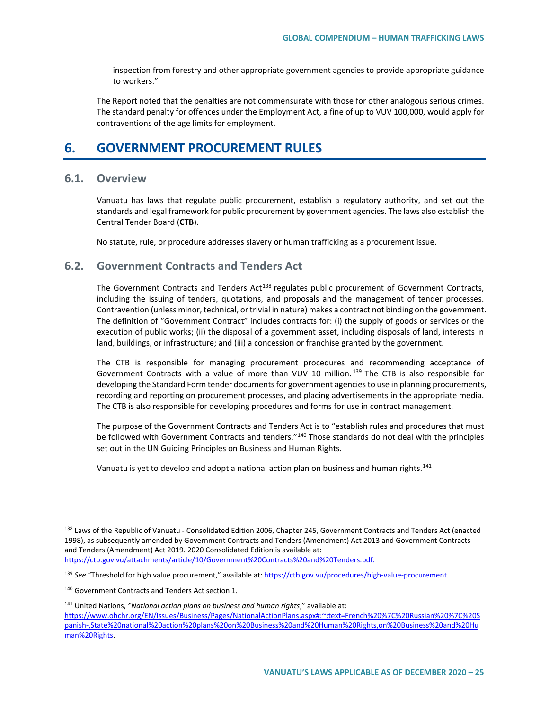inspection from forestry and other appropriate government agencies to provide appropriate guidance to workers."

The Report noted that the penalties are not commensurate with those for other analogous serious crimes. The standard penalty for offences under the Employment Act, a fine of up to VUV 100,000, would apply for contraventions of the age limits for employment.

# **6. GOVERNMENT PROCUREMENT RULES**

### **6.1. Overview**

Vanuatu has laws that regulate public procurement, establish a regulatory authority, and set out the standards and legal framework for public procurement by government agencies. The laws also establish the Central Tender Board (**CTB**).

No statute, rule, or procedure addresses slavery or human trafficking as a procurement issue.

### **6.2. Government Contracts and Tenders Act**

The Government Contracts and Tenders Act<sup>[138](#page-24-0)</sup> regulates public procurement of Government Contracts, including the issuing of tenders, quotations, and proposals and the management of tender processes. Contravention (unless minor, technical, or trivial in nature) makes a contract not binding on the government. The definition of "Government Contract" includes contracts for: (i) the supply of goods or services or the execution of public works; (ii) the disposal of a government asset, including disposals of land, interests in land, buildings, or infrastructure; and (iii) a concession or franchise granted by the government.

The CTB is responsible for managing procurement procedures and recommending acceptance of Government Contracts with a value of more than VUV 10 million.<sup>[139](#page-24-1)</sup> The CTB is also responsible for developing the Standard Form tender documents for government agencies to use in planning procurements, recording and reporting on procurement processes, and placing advertisements in the appropriate media. The CTB is also responsible for developing procedures and forms for use in contract management.

The purpose of the Government Contracts and Tenders Act is to "establish rules and procedures that must be followed with Government Contracts and tenders."<sup>[140](#page-24-2)</sup> Those standards do not deal with the principles set out in the UN Guiding Principles on Business and Human Rights.

Vanuatu is yet to develop and adopt a national action plan on business and human rights.<sup>[141](#page-24-3)</sup>

<span id="page-24-0"></span><sup>138</sup> Laws of the Republic of Vanuatu - Consolidated Edition 2006, Chapter 245, Government Contracts and Tenders Act (enacted 1998), as subsequently amended by Government Contracts and Tenders (Amendment) Act 2013 and Government Contracts and Tenders (Amendment) Act 2019. 2020 Consolidated Edition is available at: [https://ctb.gov.vu/attachments/article/10/Government%20Contracts%20and%20Tenders.pdf.](https://ctb.gov.vu/attachments/article/10/Government%20Contracts%20and%20Tenders.pdf)

<span id="page-24-1"></span><sup>139</sup> *See* "Threshold for high value procurement," available at[: https://ctb.gov.vu/procedures/high-value-procurement.](https://ctb.gov.vu/procedures/high-value-procurement)

<span id="page-24-2"></span><sup>140</sup> Government Contracts and Tenders Act section 1.

<span id="page-24-3"></span><sup>141</sup> United Nations, *"National action plans on business and human rights*," available at: [https://www.ohchr.org/EN/Issues/Business/Pages/NationalActionPlans.aspx#:~:text=French%20%7C%20Russian%20%7C%20S](https://www.ohchr.org/EN/Issues/Business/Pages/NationalActionPlans.aspx#:%7E:text=French%20%7C%20Russian%20%7C%20Spanish-,State%20national%20action%20plans%20on%20Business%20and%20Human%20Rights,on%20Business%20and%20Human%20Rights) [panish-,State%20national%20action%20plans%20on%20Business%20and%20Human%20Rights,on%20Business%20and%20Hu](https://www.ohchr.org/EN/Issues/Business/Pages/NationalActionPlans.aspx#:%7E:text=French%20%7C%20Russian%20%7C%20Spanish-,State%20national%20action%20plans%20on%20Business%20and%20Human%20Rights,on%20Business%20and%20Human%20Rights) [man%20Rights.](https://www.ohchr.org/EN/Issues/Business/Pages/NationalActionPlans.aspx#:%7E:text=French%20%7C%20Russian%20%7C%20Spanish-,State%20national%20action%20plans%20on%20Business%20and%20Human%20Rights,on%20Business%20and%20Human%20Rights)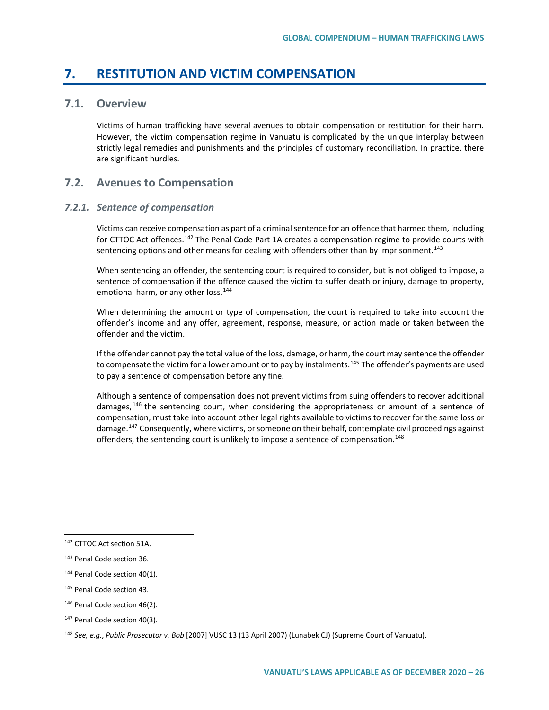# **7. RESTITUTION AND VICTIM COMPENSATION**

### **7.1. Overview**

Victims of human trafficking have several avenues to obtain compensation or restitution for their harm. However, the victim compensation regime in Vanuatu is complicated by the unique interplay between strictly legal remedies and punishments and the principles of customary reconciliation. In practice, there are significant hurdles.

### **7.2. Avenues to Compensation**

### *7.2.1. Sentence of compensation*

Victims can receive compensation as part of a criminal sentence for an offence that harmed them, including for CTTOC Act offences.<sup>[142](#page-25-0)</sup> The Penal Code Part 1A creates a compensation regime to provide courts with sentencing options and other means for dealing with offenders other than by imprisonment.<sup>[143](#page-25-1)</sup>

When sentencing an offender, the sentencing court is required to consider, but is not obliged to impose, a sentence of compensation if the offence caused the victim to suffer death or injury, damage to property, emotional harm, or any other loss.<sup>[144](#page-25-2)</sup>

When determining the amount or type of compensation, the court is required to take into account the offender's income and any offer, agreement, response, measure, or action made or taken between the offender and the victim.

If the offender cannot pay the total value of the loss, damage, or harm, the court may sentence the offender to compensate the victim for a lower amount or to pay by instalments.<sup>[145](#page-25-3)</sup> The offender's payments are used to pay a sentence of compensation before any fine.

Although a sentence of compensation does not prevent victims from suing offenders to recover additional damages, <sup>[146](#page-25-4)</sup> the sentencing court, when considering the appropriateness or amount of a sentence of compensation, must take into account other legal rights available to victims to recover for the same loss or damage.<sup>[147](#page-25-5)</sup> Consequently, where victims, or someone on their behalf, contemplate civil proceedings against offenders, the sentencing court is unlikely to impose a sentence of compensation.<sup>[148](#page-25-6)</sup>

<span id="page-25-0"></span> <sup>142</sup> CTTOC Act section 51A.

<span id="page-25-1"></span><sup>143</sup> Penal Code section 36.

<span id="page-25-2"></span><sup>&</sup>lt;sup>144</sup> Penal Code section 40(1).

<span id="page-25-3"></span><sup>145</sup> Penal Code section 43.

<span id="page-25-4"></span><sup>&</sup>lt;sup>146</sup> Penal Code section 46(2).

<span id="page-25-5"></span><sup>147</sup> Penal Code section 40(3).

<span id="page-25-6"></span><sup>148</sup> *See, e.g.*, *Public Prosecutor v. Bob* [2007] VUSC 13 (13 April 2007) (Lunabek CJ) (Supreme Court of Vanuatu).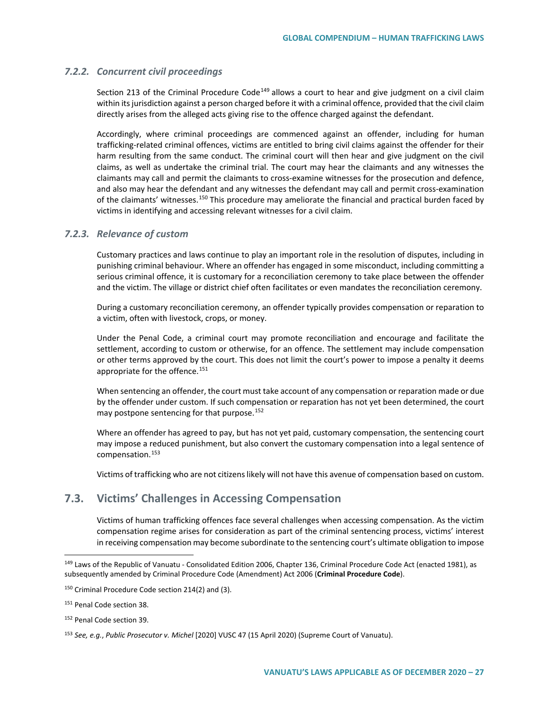### *7.2.2. Concurrent civil proceedings*

Section 213 of the Criminal Procedure Code<sup>[149](#page-26-0)</sup> allows a court to hear and give judgment on a civil claim within its jurisdiction against a person charged before it with a criminal offence, provided that the civil claim directly arises from the alleged acts giving rise to the offence charged against the defendant.

Accordingly, where criminal proceedings are commenced against an offender, including for human trafficking-related criminal offences, victims are entitled to bring civil claims against the offender for their harm resulting from the same conduct. The criminal court will then hear and give judgment on the civil claims, as well as undertake the criminal trial. The court may hear the claimants and any witnesses the claimants may call and permit the claimants to cross-examine witnesses for the prosecution and defence, and also may hear the defendant and any witnesses the defendant may call and permit cross-examination of the claimants' witnesses.<sup>[150](#page-26-1)</sup> This procedure may ameliorate the financial and practical burden faced by victims in identifying and accessing relevant witnesses for a civil claim.

### *7.2.3. Relevance of custom*

Customary practices and laws continue to play an important role in the resolution of disputes, including in punishing criminal behaviour. Where an offender has engaged in some misconduct, including committing a serious criminal offence, it is customary for a reconciliation ceremony to take place between the offender and the victim. The village or district chief often facilitates or even mandates the reconciliation ceremony.

During a customary reconciliation ceremony, an offender typically provides compensation or reparation to a victim, often with livestock, crops, or money.

Under the Penal Code, a criminal court may promote reconciliation and encourage and facilitate the settlement, according to custom or otherwise, for an offence. The settlement may include compensation or other terms approved by the court. This does not limit the court's power to impose a penalty it deems appropriate for the offence.<sup>[151](#page-26-2)</sup>

When sentencing an offender, the court must take account of any compensation or reparation made or due by the offender under custom. If such compensation or reparation has not yet been determined, the court may postpone sentencing for that purpose.<sup>[152](#page-26-3)</sup>

Where an offender has agreed to pay, but has not yet paid, customary compensation, the sentencing court may impose a reduced punishment, but also convert the customary compensation into a legal sentence of compensation.[153](#page-26-4)

Victims of trafficking who are not citizens likely will not have this avenue of compensation based on custom.

### **7.3. Victims' Challenges in Accessing Compensation**

Victims of human trafficking offences face several challenges when accessing compensation. As the victim compensation regime arises for consideration as part of the criminal sentencing process, victims' interest in receiving compensation may become subordinate to the sentencing court's ultimate obligation to impose

<span id="page-26-0"></span><sup>&</sup>lt;sup>149</sup> Laws of the Republic of Vanuatu - Consolidated Edition 2006, Chapter 136, Criminal Procedure Code Act (enacted 1981), as subsequently amended by Criminal Procedure Code (Amendment) Act 2006 (**Criminal Procedure Code**).

<span id="page-26-1"></span><sup>150</sup> Criminal Procedure Code section 214(2) and (3).

<span id="page-26-2"></span><sup>151</sup> Penal Code section 38.

<span id="page-26-3"></span><sup>152</sup> Penal Code section 39.

<span id="page-26-4"></span><sup>153</sup> *See, e.g.*, *Public Prosecutor v. Michel* [2020] VUSC 47 (15 April 2020) (Supreme Court of Vanuatu).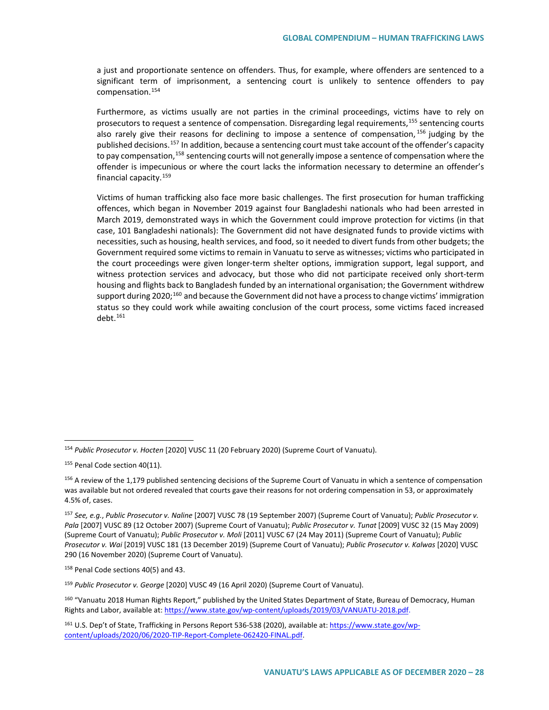a just and proportionate sentence on offenders. Thus, for example, where offenders are sentenced to a significant term of imprisonment, a sentencing court is unlikely to sentence offenders to pay compensation.[154](#page-27-0)

Furthermore, as victims usually are not parties in the criminal proceedings, victims have to rely on prosecutors to request a sentence of compensation. Disregarding legal requirements, <sup>[155](#page-27-1)</sup> sentencing courts also rarely give their reasons for declining to impose a sentence of compensation,  $156$  judging by the published decisions.<sup>[157](#page-27-3)</sup> In addition, because a sentencing court must take account of the offender's capacity to pay compensation,<sup>[158](#page-27-4)</sup> sentencing courts will not generally impose a sentence of compensation where the offender is impecunious or where the court lacks the information necessary to determine an offender's financial capacity.[159](#page-27-5)

Victims of human trafficking also face more basic challenges. The first prosecution for human trafficking offences, which began in November 2019 against four Bangladeshi nationals who had been arrested in March 2019, demonstrated ways in which the Government could improve protection for victims (in that case, 101 Bangladeshi nationals): The Government did not have designated funds to provide victims with necessities, such as housing, health services, and food, so it needed to divert funds from other budgets; the Government required some victims to remain in Vanuatu to serve as witnesses; victims who participated in the court proceedings were given longer-term shelter options, immigration support, legal support, and witness protection services and advocacy, but those who did not participate received only short-term housing and flights back to Bangladesh funded by an international organisation; the Government withdrew support during 2020;<sup>[160](#page-27-6)</sup> and because the Government did not have a process to change victims' immigration status so they could work while awaiting conclusion of the court process, some victims faced increased deht  $161$ 

<span id="page-27-4"></span><sup>158</sup> Penal Code sections 40(5) and 43.

<span id="page-27-5"></span><sup>159</sup> *Public Prosecutor v. George* [2020] VUSC 49 (16 April 2020) (Supreme Court of Vanuatu).

<span id="page-27-6"></span><sup>160</sup> "Vanuatu 2018 Human Rights Report," published by the United States Department of State, Bureau of Democracy, Human Rights and Labor, available at[: https://www.state.gov/wp-content/uploads/2019/03/VANUATU-2018.pdf.](https://www.state.gov/wp-content/uploads/2019/03/VANUATU-2018.pdf)

<span id="page-27-0"></span> <sup>154</sup> *Public Prosecutor v. Hocten* [2020] VUSC 11 (20 February 2020) (Supreme Court of Vanuatu).

<span id="page-27-1"></span><sup>&</sup>lt;sup>155</sup> Penal Code section 40(11).

<span id="page-27-2"></span><sup>&</sup>lt;sup>156</sup> A review of the 1,179 published sentencing decisions of the Supreme Court of Vanuatu in which a sentence of compensation was available but not ordered revealed that courts gave their reasons for not ordering compensation in 53, or approximately 4.5% of, cases.

<span id="page-27-3"></span><sup>157</sup> *See, e.g.*, *Public Prosecutor v. Naline* [2007] VUSC 78 (19 September 2007) (Supreme Court of Vanuatu); *Public Prosecutor v. Pala* [2007] VUSC 89 (12 October 2007) (Supreme Court of Vanuatu); *Public Prosecutor v. Tunat* [2009] VUSC 32 (15 May 2009) (Supreme Court of Vanuatu); *Public Prosecutor v. Moli* [2011] VUSC 67 (24 May 2011) (Supreme Court of Vanuatu); *Public Prosecutor v. Wai* [2019] VUSC 181 (13 December 2019) (Supreme Court of Vanuatu); *Public Prosecutor v. Kalwas* [2020] VUSC 290 (16 November 2020) (Supreme Court of Vanuatu).

<span id="page-27-7"></span><sup>161</sup> U.S. Dep't of State, Trafficking in Persons Report 536-538 (2020), available at: [https://www.state.gov/wp](https://www.state.gov/wp-content/uploads/2020/06/2020-TIP-Report-Complete-062420-FINAL.pdf)[content/uploads/2020/06/2020-TIP-Report-Complete-062420-FINAL.pdf.](https://www.state.gov/wp-content/uploads/2020/06/2020-TIP-Report-Complete-062420-FINAL.pdf)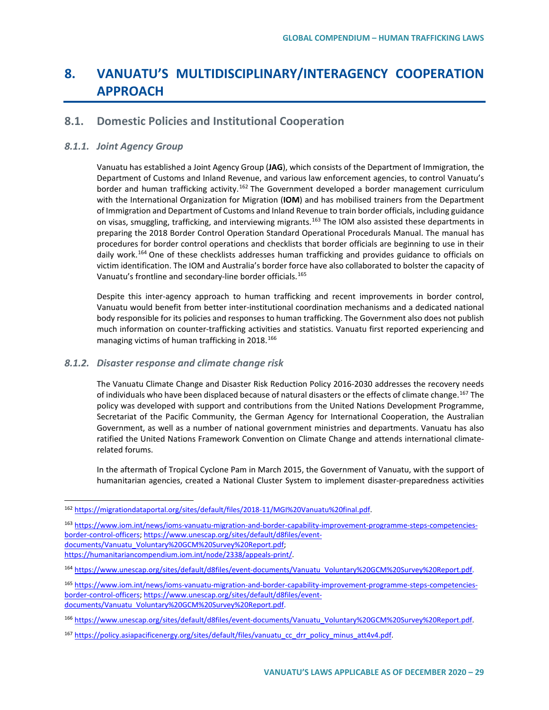# **8. VANUATU'S MULTIDISCIPLINARY/INTERAGENCY COOPERATION APPROACH**

### **8.1. Domestic Policies and Institutional Cooperation**

### *8.1.1. Joint Agency Group*

Vanuatu has established a Joint Agency Group (**JAG**), which consists of the Department of Immigration, the Department of Customs and Inland Revenue, and various law enforcement agencies, to control Vanuatu's border and human trafficking activity.<sup>[162](#page-28-0)</sup> The Government developed a border management curriculum with the International Organization for Migration (**IOM**) and has mobilised trainers from the Department of Immigration and Department of Customs and Inland Revenue to train border officials, including guidance on visas, smuggling, trafficking, and interviewing migrants.<sup>[163](#page-28-1)</sup> The IOM also assisted these departments in preparing the 2018 Border Control Operation Standard Operational Procedurals Manual. The manual has procedures for border control operations and checklists that border officials are beginning to use in their daily work.<sup>[164](#page-28-2)</sup> One of these checklists addresses human trafficking and provides guidance to officials on victim identification. The IOM and Australia's border force have also collaborated to bolster the capacity of Vanuatu's frontline and secondary-line border officials.<sup>[165](#page-28-3)</sup>

Despite this inter-agency approach to human trafficking and recent improvements in border control, Vanuatu would benefit from better inter-institutional coordination mechanisms and a dedicated national body responsible for its policies and responses to human trafficking. The Government also does not publish much information on counter-trafficking activities and statistics. Vanuatu first reported experiencing and managing victims of human trafficking in 2018.<sup>[166](#page-28-4)</sup>

### *8.1.2. Disaster response and climate change risk*

The Vanuatu Climate Change and Disaster Risk Reduction Policy 2016-2030 addresses the recovery needs of individuals who have been displaced because of natural disasters or the effects of climate change.<sup>[167](#page-28-5)</sup> The policy was developed with support and contributions from the United Nations Development Programme, Secretariat of the Pacific Community, the German Agency for International Cooperation, the Australian Government, as well as a number of national government ministries and departments. Vanuatu has also ratified the United Nations Framework Convention on Climate Change and attends international climaterelated forums.

In the aftermath of Tropical Cyclone Pam in March 2015, the Government of Vanuatu, with the support of humanitarian agencies, created a National Cluster System to implement disaster-preparedness activities

<span id="page-28-0"></span> <sup>162</sup> [https://migrationdataportal.org/sites/default/files/2018-11/MGI%20Vanuatu%20final.pdf.](https://migrationdataportal.org/sites/default/files/2018-11/MGI%20Vanuatu%20final.pdf)

<span id="page-28-1"></span><sup>163</sup> [https://www.iom.int/news/ioms-vanuatu-migration-and-border-capability-improvement-programme-steps-competencies](https://www.iom.int/news/ioms-vanuatu-migration-and-border-capability-improvement-programme-steps-competencies-border-control-officers)[border-control-officers;](https://www.iom.int/news/ioms-vanuatu-migration-and-border-capability-improvement-programme-steps-competencies-border-control-officers) [https://www.unescap.org/sites/default/d8files/event](https://www.unescap.org/sites/default/d8files/event-documents/Vanuatu_Voluntary%20GCM%20Survey%20Report.pdf)[documents/Vanuatu\\_Voluntary%20GCM%20Survey%20Report.pdf;](https://www.unescap.org/sites/default/d8files/event-documents/Vanuatu_Voluntary%20GCM%20Survey%20Report.pdf) [https://humanitariancompendium.iom.int/node/2338/appeals-print/.](https://humanitariancompendium.iom.int/node/2338/appeals-print/)

<span id="page-28-2"></span><sup>164</sup> [https://www.unescap.org/sites/default/d8files/event-documents/Vanuatu\\_Voluntary%20GCM%20Survey%20Report.pdf.](https://www.unescap.org/sites/default/d8files/event-documents/Vanuatu_Voluntary%20GCM%20Survey%20Report.pdf)

<span id="page-28-3"></span><sup>165</sup> [https://www.iom.int/news/ioms-vanuatu-migration-and-border-capability-improvement-programme-steps-competencies](https://www.iom.int/news/ioms-vanuatu-migration-and-border-capability-improvement-programme-steps-competencies-border-control-officers)[border-control-officers;](https://www.iom.int/news/ioms-vanuatu-migration-and-border-capability-improvement-programme-steps-competencies-border-control-officers) [https://www.unescap.org/sites/default/d8files/event](https://www.unescap.org/sites/default/d8files/event-documents/Vanuatu_Voluntary%20GCM%20Survey%20Report.pdf)[documents/Vanuatu\\_Voluntary%20GCM%20Survey%20Report.pdf.](https://www.unescap.org/sites/default/d8files/event-documents/Vanuatu_Voluntary%20GCM%20Survey%20Report.pdf)

<span id="page-28-4"></span><sup>166</sup> [https://www.unescap.org/sites/default/d8files/event-documents/Vanuatu\\_Voluntary%20GCM%20Survey%20Report.pdf.](https://www.unescap.org/sites/default/d8files/event-documents/Vanuatu_Voluntary%20GCM%20Survey%20Report.pdf)

<span id="page-28-5"></span><sup>167</sup> [https://policy.asiapacificenergy.org/sites/default/files/vanuatu\\_cc\\_drr\\_policy\\_minus\\_att4v4.pdf.](https://policy.asiapacificenergy.org/sites/default/files/vanuatu_cc_drr_policy_minus_att4v4.pdf)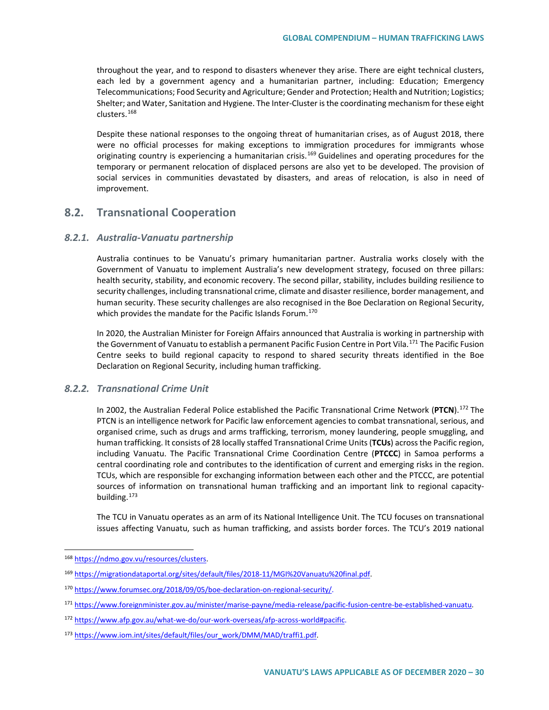throughout the year, and to respond to disasters whenever they arise. There are eight technical clusters, each led by a government agency and a humanitarian partner, including: Education; Emergency Telecommunications; Food Security and Agriculture; Gender and Protection; Health and Nutrition; Logistics; Shelter; and Water, Sanitation and Hygiene. The Inter-Cluster is the coordinating mechanism for these eight clusters.[168](#page-29-0)

Despite these national responses to the ongoing threat of humanitarian crises, as of August 2018, there were no official processes for making exceptions to immigration procedures for immigrants whose originating country is experiencing a humanitarian crisis.<sup>[169](#page-29-1)</sup> Guidelines and operating procedures for the temporary or permanent relocation of displaced persons are also yet to be developed. The provision of social services in communities devastated by disasters, and areas of relocation, is also in need of improvement.

### **8.2. Transnational Cooperation**

### *8.2.1. Australia-Vanuatu partnership*

Australia continues to be Vanuatu's primary humanitarian partner. Australia works closely with the Government of Vanuatu to implement Australia's new development strategy, focused on three pillars: health security, stability, and economic recovery. The second pillar, stability, includes building resilience to security challenges, including transnational crime, climate and disaster resilience, border management, and human security. These security challenges are also recognised in the Boe Declaration on Regional Security, which provides the mandate for the Pacific Islands Forum.<sup>[170](#page-29-2)</sup>

In 2020, the Australian Minister for Foreign Affairs announced that Australia is working in partnership with the Government of Vanuatu to establish a permanent Pacific Fusion Centre in Port Vila.<sup>171</sup> The Pacific Fusion Centre seeks to build regional capacity to respond to shared security threats identified in the Boe Declaration on Regional Security, including human trafficking.

### *8.2.2. Transnational Crime Unit*

In 2002, the Australian Federal Police established the Pacific Transnational Crime Network (**PTCN**). [172](#page-29-4) The PTCN is an intelligence network for Pacific law enforcement agencies to combat transnational, serious, and organised crime, such as drugs and arms trafficking, terrorism, money laundering, people smuggling, and human trafficking. It consists of 28 locally staffed Transnational Crime Units (**TCUs**) across the Pacific region, including Vanuatu. The Pacific Transnational Crime Coordination Centre (**PTCCC**) in Samoa performs a central coordinating role and contributes to the identification of current and emerging risks in the region. TCUs, which are responsible for exchanging information between each other and the PTCCC, are potential sources of information on transnational human trafficking and an important link to regional capacitybuilding.[173](#page-29-5)

The TCU in Vanuatu operates as an arm of its National Intelligence Unit. The TCU focuses on transnational issues affecting Vanuatu, such as human trafficking, and assists border forces. The TCU's 2019 national

<span id="page-29-0"></span> <sup>168</sup> [https://ndmo.gov.vu/resources/clusters.](https://ndmo.gov.vu/resources/clusters)

<span id="page-29-1"></span><sup>169</sup> [https://migrationdataportal.org/sites/default/files/2018-11/MGI%20Vanuatu%20final.pdf.](https://migrationdataportal.org/sites/default/files/2018-11/MGI%20Vanuatu%20final.pdf)

<span id="page-29-2"></span><sup>170</sup> [https://www.forumsec.org/2018/09/05/boe-declaration-on-regional-security/.](https://www.forumsec.org/2018/09/05/boe-declaration-on-regional-security/)

<span id="page-29-3"></span><sup>171</sup> [https://www.foreignminister.gov.au/minister/marise-payne/media-release/pacific-fusion-centre-be-established-vanuatu.](https://www.foreignminister.gov.au/minister/marise-payne/media-release/pacific-fusion-centre-be-established-vanuatu)

<span id="page-29-4"></span><sup>172</sup> [https://www.afp.gov.au/what-we-do/our-work-overseas/afp-across-world#pacific.](https://www.afp.gov.au/what-we-do/our-work-overseas/afp-across-world#pacific)

<span id="page-29-5"></span><sup>173</sup> [https://www.iom.int/sites/default/files/our\\_work/DMM/MAD/traffi1.pdf.](https://www.iom.int/sites/default/files/our_work/DMM/MAD/traffi1.pdf)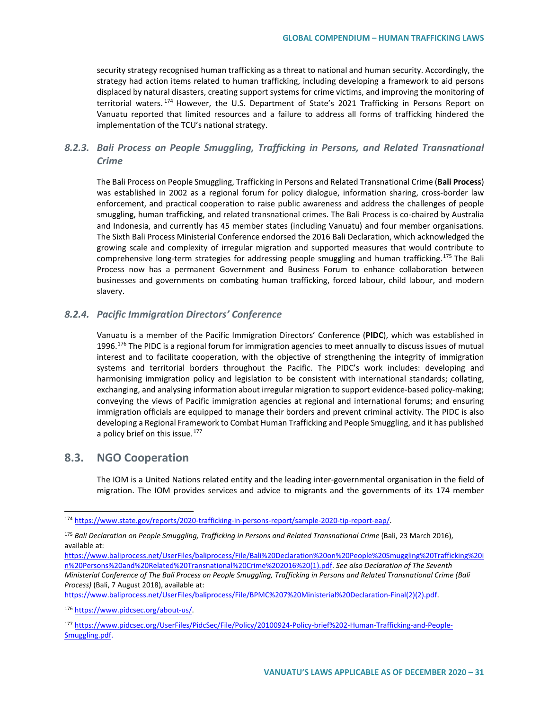security strategy recognised human trafficking as a threat to national and human security. Accordingly, the strategy had action items related to human trafficking, including developing a framework to aid persons displaced by natural disasters, creating support systems for crime victims, and improving the monitoring of territorial waters.<sup>[174](#page-30-0)</sup> However, the U.S. Department of State's 2021 Trafficking in Persons Report on Vanuatu reported that limited resources and a failure to address all forms of trafficking hindered the implementation of the TCU's national strategy.

### *8.2.3. Bali Process on People Smuggling, Trafficking in Persons, and Related Transnational Crime*

The Bali Process on People Smuggling, Trafficking in Persons and Related Transnational Crime (**Bali Process**) was established in 2002 as a regional forum for policy dialogue, information sharing, cross-border law enforcement, and practical cooperation to raise public awareness and address the challenges of people smuggling, human trafficking, and related transnational crimes. The Bali Process is co-chaired by Australia and Indonesia, and currently has 45 member states (including Vanuatu) and four member organisations. The Sixth Bali Process Ministerial Conference endorsed the 2016 Bali Declaration, which acknowledged the growing scale and complexity of irregular migration and supported measures that would contribute to comprehensive long-term strategies for addressing people smuggling and human trafficking.<sup>[175](#page-30-1)</sup> The Bali Process now has a permanent Government and Business Forum to enhance collaboration between businesses and governments on combating human trafficking, forced labour, child labour, and modern slavery.

### *8.2.4. Pacific Immigration Directors' Conference*

Vanuatu is a member of the Pacific Immigration Directors' Conference (**PIDC**), which was established in 1996.<sup>[176](#page-30-2)</sup> The PIDC is a regional forum for immigration agencies to meet annually to discuss issues of mutual interest and to facilitate cooperation, with the objective of strengthening the integrity of immigration systems and territorial borders throughout the Pacific. The PIDC's work includes: developing and harmonising immigration policy and legislation to be consistent with international standards; collating, exchanging, and analysing information about irregular migration to support evidence-based policy-making; conveying the views of Pacific immigration agencies at regional and international forums; and ensuring immigration officials are equipped to manage their borders and prevent criminal activity. The PIDC is also developing a Regional Framework to Combat Human Trafficking and People Smuggling, and it has published a policy brief on this issue.<sup>[177](#page-30-3)</sup>

### **8.3. NGO Cooperation**

The IOM is a United Nations related entity and the leading inter-governmental organisation in the field of migration. The IOM provides services and advice to migrants and the governments of its 174 member

<span id="page-30-0"></span> <sup>174</sup> [https://www.state.gov/reports/2020-trafficking-in-persons-report/sample-2020-tip-report-eap/.](https://www.state.gov/reports/2020-trafficking-in-persons-report/sample-2020-tip-report-eap/)

<span id="page-30-1"></span><sup>175</sup> *Bali Declaration on People Smuggling, Trafficking in Persons and Related Transnational Crime* (Bali, 23 March 2016), available at:

[https://www.baliprocess.net/UserFiles/baliprocess/File/Bali%20Declaration%20on%20People%20Smuggling%20Trafficking%20i](https://www.baliprocess.net/UserFiles/baliprocess/File/Bali%20Declaration%20on%20People%20Smuggling%20Trafficking%20in%20Persons%20and%20Related%20Transnational%20Crime%202016%20(1).pdf) [n%20Persons%20and%20Related%20Transnational%20Crime%202016%20\(1\).pdf.](https://www.baliprocess.net/UserFiles/baliprocess/File/Bali%20Declaration%20on%20People%20Smuggling%20Trafficking%20in%20Persons%20and%20Related%20Transnational%20Crime%202016%20(1).pdf) *See also Declaration of The Seventh Ministerial Conference of The Bali Process on People Smuggling, Trafficking in Persons and Related Transnational Crime (Bali Process)* (Bali, 7 August 2018), available at:

[https://www.baliprocess.net/UserFiles/baliprocess/File/BPMC%207%20Ministerial%20Declaration-Final\(2\)\(2\).pdf.](https://www.baliprocess.net/UserFiles/baliprocess/File/BPMC%207%20Ministerial%20Declaration-Final(2)(2).pdf)

<span id="page-30-2"></span><sup>176</sup> [https://www.pidcsec.org/about-us/.](https://www.pidcsec.org/about-us/)

<span id="page-30-3"></span><sup>177</sup> [https://www.pidcsec.org/UserFiles/PidcSec/File/Policy/20100924-Policy-brief%202-Human-Trafficking-and-People-](https://www.pidcsec.org/UserFiles/PidcSec/File/Policy/20100924-Policy-brief%202-Human-Trafficking-and-People-Smuggling.pdf)[Smuggling.pdf.](https://www.pidcsec.org/UserFiles/PidcSec/File/Policy/20100924-Policy-brief%202-Human-Trafficking-and-People-Smuggling.pdf)